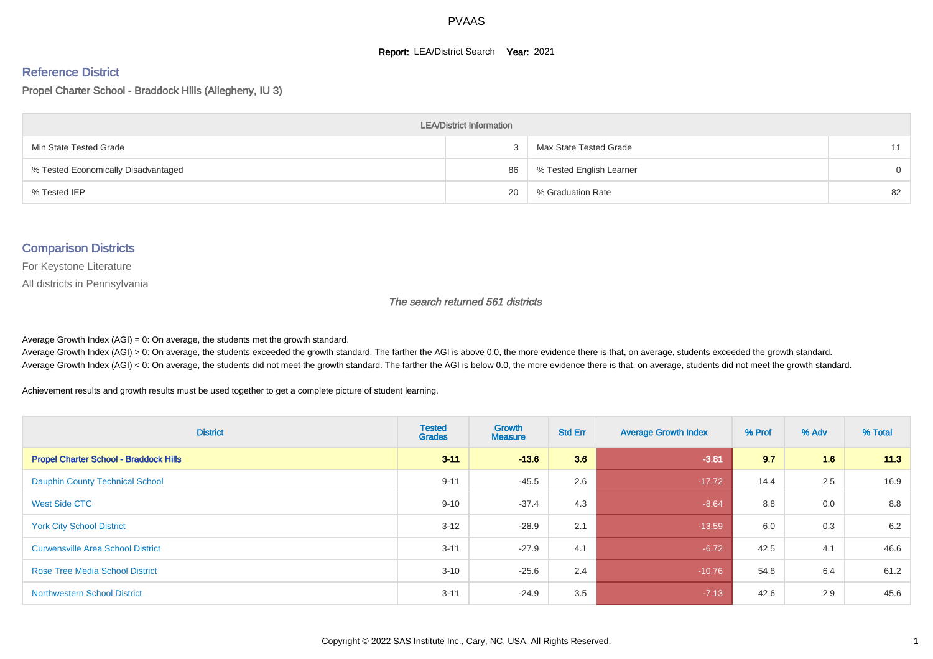#### **Report: LEA/District Search Year: 2021**

# Reference District

Propel Charter School - Braddock Hills (Allegheny, IU 3)

| <b>LEA/District Information</b>     |    |                          |          |  |  |  |  |  |  |  |
|-------------------------------------|----|--------------------------|----------|--|--|--|--|--|--|--|
| Min State Tested Grade              |    | Max State Tested Grade   | 11       |  |  |  |  |  |  |  |
| % Tested Economically Disadvantaged | 86 | % Tested English Learner | $\Omega$ |  |  |  |  |  |  |  |
| % Tested IEP                        | 20 | % Graduation Rate        | 82       |  |  |  |  |  |  |  |

#### Comparison Districts

For Keystone Literature

All districts in Pennsylvania

The search returned 561 districts

Average Growth Index  $(AGI) = 0$ : On average, the students met the growth standard.

Average Growth Index (AGI) > 0: On average, the students exceeded the growth standard. The farther the AGI is above 0.0, the more evidence there is that, on average, students exceeded the growth standard. Average Growth Index (AGI) < 0: On average, the students did not meet the growth standard. The farther the AGI is below 0.0, the more evidence there is that, on average, students did not meet the growth standard.

Achievement results and growth results must be used together to get a complete picture of student learning.

| <b>District</b>                               | <b>Tested</b><br><b>Grades</b> | <b>Growth</b><br><b>Measure</b> | <b>Std Err</b> | <b>Average Growth Index</b> | % Prof | % Adv | % Total |
|-----------------------------------------------|--------------------------------|---------------------------------|----------------|-----------------------------|--------|-------|---------|
| <b>Propel Charter School - Braddock Hills</b> | $3 - 11$                       | $-13.6$                         | 3.6            | $-3.81$                     | 9.7    | 1.6   | 11.3    |
| <b>Dauphin County Technical School</b>        | $9 - 11$                       | $-45.5$                         | 2.6            | $-17.72$                    | 14.4   | 2.5   | 16.9    |
| West Side CTC                                 | $9 - 10$                       | $-37.4$                         | 4.3            | $-8.64$                     | 8.8    | 0.0   | 8.8     |
| <b>York City School District</b>              | $3 - 12$                       | $-28.9$                         | 2.1            | $-13.59$                    | 6.0    | 0.3   | 6.2     |
| <b>Curwensville Area School District</b>      | $3 - 11$                       | $-27.9$                         | 4.1            | $-6.72$                     | 42.5   | 4.1   | 46.6    |
| <b>Rose Tree Media School District</b>        | $3 - 10$                       | $-25.6$                         | 2.4            | $-10.76$                    | 54.8   | 6.4   | 61.2    |
| <b>Northwestern School District</b>           | $3 - 11$                       | $-24.9$                         | 3.5            | $-7.13$                     | 42.6   | 2.9   | 45.6    |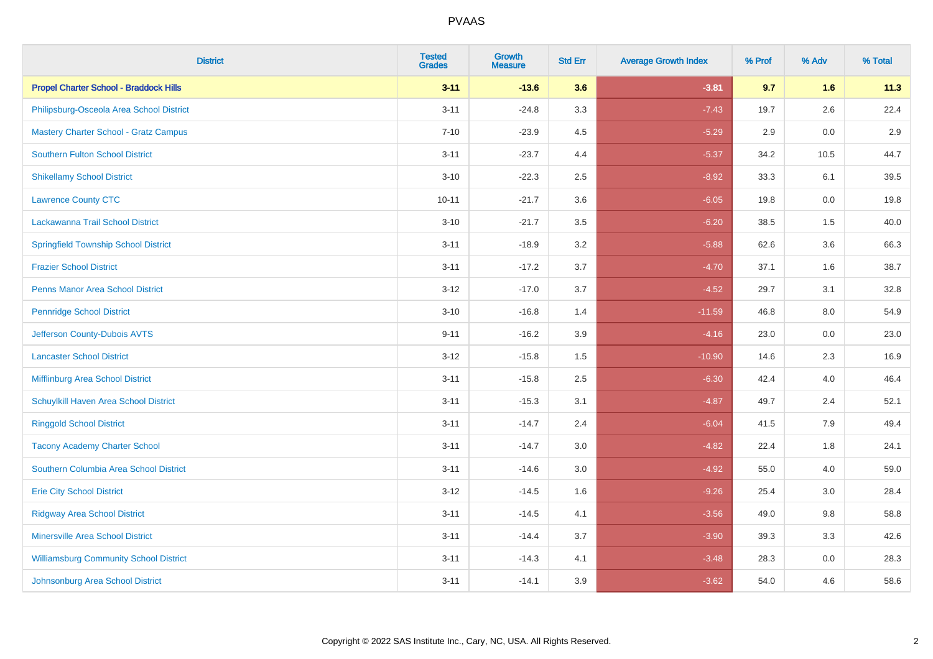| <b>District</b>                               | <b>Tested</b><br><b>Grades</b> | <b>Growth</b><br><b>Measure</b> | <b>Std Err</b> | <b>Average Growth Index</b> | % Prof | % Adv   | % Total |
|-----------------------------------------------|--------------------------------|---------------------------------|----------------|-----------------------------|--------|---------|---------|
| <b>Propel Charter School - Braddock Hills</b> | $3 - 11$                       | $-13.6$                         | 3.6            | $-3.81$                     | 9.7    | 1.6     | 11.3    |
| Philipsburg-Osceola Area School District      | $3 - 11$                       | $-24.8$                         | 3.3            | $-7.43$                     | 19.7   | $2.6\,$ | 22.4    |
| <b>Mastery Charter School - Gratz Campus</b>  | $7 - 10$                       | $-23.9$                         | 4.5            | $-5.29$                     | 2.9    | 0.0     | 2.9     |
| <b>Southern Fulton School District</b>        | $3 - 11$                       | $-23.7$                         | 4.4            | $-5.37$                     | 34.2   | 10.5    | 44.7    |
| <b>Shikellamy School District</b>             | $3 - 10$                       | $-22.3$                         | 2.5            | $-8.92$                     | 33.3   | 6.1     | 39.5    |
| <b>Lawrence County CTC</b>                    | $10 - 11$                      | $-21.7$                         | 3.6            | $-6.05$                     | 19.8   | 0.0     | 19.8    |
| Lackawanna Trail School District              | $3 - 10$                       | $-21.7$                         | 3.5            | $-6.20$                     | 38.5   | 1.5     | 40.0    |
| <b>Springfield Township School District</b>   | $3 - 11$                       | $-18.9$                         | 3.2            | $-5.88$                     | 62.6   | 3.6     | 66.3    |
| <b>Frazier School District</b>                | $3 - 11$                       | $-17.2$                         | 3.7            | $-4.70$                     | 37.1   | 1.6     | 38.7    |
| <b>Penns Manor Area School District</b>       | $3 - 12$                       | $-17.0$                         | 3.7            | $-4.52$                     | 29.7   | 3.1     | 32.8    |
| <b>Pennridge School District</b>              | $3 - 10$                       | $-16.8$                         | 1.4            | $-11.59$                    | 46.8   | 8.0     | 54.9    |
| Jefferson County-Dubois AVTS                  | $9 - 11$                       | $-16.2$                         | 3.9            | $-4.16$                     | 23.0   | 0.0     | 23.0    |
| <b>Lancaster School District</b>              | $3 - 12$                       | $-15.8$                         | 1.5            | $-10.90$                    | 14.6   | $2.3\,$ | 16.9    |
| Mifflinburg Area School District              | $3 - 11$                       | $-15.8$                         | 2.5            | $-6.30$                     | 42.4   | 4.0     | 46.4    |
| Schuylkill Haven Area School District         | $3 - 11$                       | $-15.3$                         | 3.1            | $-4.87$                     | 49.7   | 2.4     | 52.1    |
| <b>Ringgold School District</b>               | $3 - 11$                       | $-14.7$                         | 2.4            | $-6.04$                     | 41.5   | 7.9     | 49.4    |
| <b>Tacony Academy Charter School</b>          | $3 - 11$                       | $-14.7$                         | 3.0            | $-4.82$                     | 22.4   | 1.8     | 24.1    |
| Southern Columbia Area School District        | $3 - 11$                       | $-14.6$                         | 3.0            | $-4.92$                     | 55.0   | 4.0     | 59.0    |
| <b>Erie City School District</b>              | $3 - 12$                       | $-14.5$                         | 1.6            | $-9.26$                     | 25.4   | 3.0     | 28.4    |
| <b>Ridgway Area School District</b>           | $3 - 11$                       | $-14.5$                         | 4.1            | $-3.56$                     | 49.0   | 9.8     | 58.8    |
| <b>Minersville Area School District</b>       | $3 - 11$                       | $-14.4$                         | 3.7            | $-3.90$                     | 39.3   | 3.3     | 42.6    |
| <b>Williamsburg Community School District</b> | $3 - 11$                       | $-14.3$                         | 4.1            | $-3.48$                     | 28.3   | 0.0     | 28.3    |
| Johnsonburg Area School District              | $3 - 11$                       | $-14.1$                         | 3.9            | $-3.62$                     | 54.0   | 4.6     | 58.6    |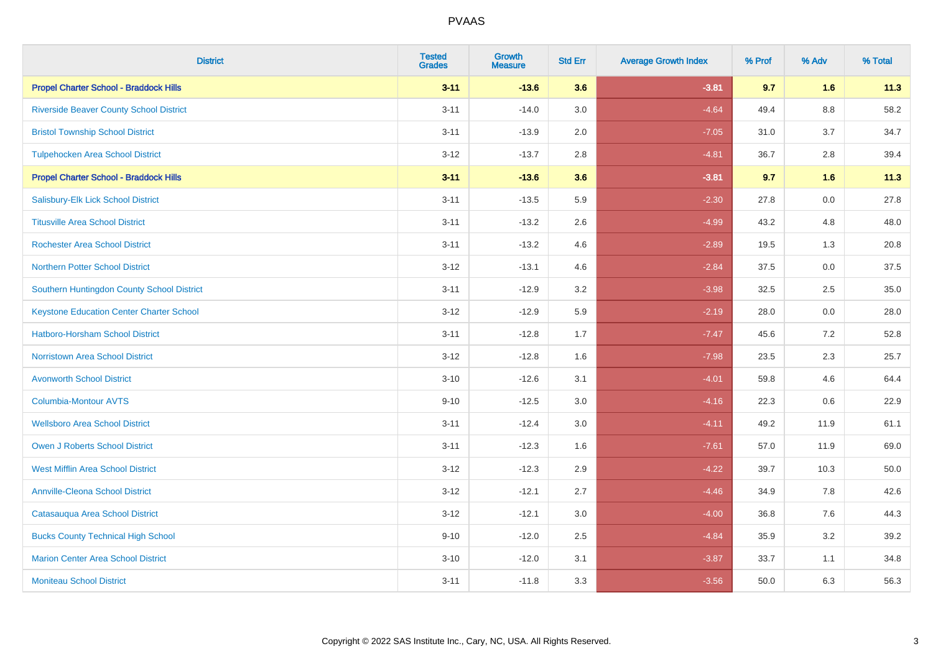| <b>District</b>                                 | <b>Tested</b><br><b>Grades</b> | <b>Growth</b><br><b>Measure</b> | <b>Std Err</b> | <b>Average Growth Index</b> | % Prof | % Adv   | % Total |
|-------------------------------------------------|--------------------------------|---------------------------------|----------------|-----------------------------|--------|---------|---------|
| <b>Propel Charter School - Braddock Hills</b>   | $3 - 11$                       | $-13.6$                         | 3.6            | $-3.81$                     | 9.7    | 1.6     | 11.3    |
| <b>Riverside Beaver County School District</b>  | $3 - 11$                       | $-14.0$                         | 3.0            | $-4.64$                     | 49.4   | $8.8\,$ | 58.2    |
| <b>Bristol Township School District</b>         | $3 - 11$                       | $-13.9$                         | 2.0            | $-7.05$                     | 31.0   | 3.7     | 34.7    |
| <b>Tulpehocken Area School District</b>         | $3 - 12$                       | $-13.7$                         | 2.8            | $-4.81$                     | 36.7   | 2.8     | 39.4    |
| <b>Propel Charter School - Braddock Hills</b>   | $3 - 11$                       | $-13.6$                         | 3.6            | $-3.81$                     | 9.7    | 1.6     | 11.3    |
| Salisbury-Elk Lick School District              | $3 - 11$                       | $-13.5$                         | 5.9            | $-2.30$                     | 27.8   | 0.0     | 27.8    |
| <b>Titusville Area School District</b>          | $3 - 11$                       | $-13.2$                         | 2.6            | $-4.99$                     | 43.2   | 4.8     | 48.0    |
| <b>Rochester Area School District</b>           | $3 - 11$                       | $-13.2$                         | 4.6            | $-2.89$                     | 19.5   | 1.3     | 20.8    |
| <b>Northern Potter School District</b>          | $3 - 12$                       | $-13.1$                         | 4.6            | $-2.84$                     | 37.5   | 0.0     | 37.5    |
| Southern Huntingdon County School District      | $3 - 11$                       | $-12.9$                         | 3.2            | $-3.98$                     | 32.5   | $2.5\,$ | 35.0    |
| <b>Keystone Education Center Charter School</b> | $3 - 12$                       | $-12.9$                         | 5.9            | $-2.19$                     | 28.0   | 0.0     | 28.0    |
| <b>Hatboro-Horsham School District</b>          | $3 - 11$                       | $-12.8$                         | 1.7            | $-7.47$                     | 45.6   | 7.2     | 52.8    |
| <b>Norristown Area School District</b>          | $3 - 12$                       | $-12.8$                         | 1.6            | $-7.98$                     | 23.5   | 2.3     | 25.7    |
| <b>Avonworth School District</b>                | $3 - 10$                       | $-12.6$                         | 3.1            | $-4.01$                     | 59.8   | 4.6     | 64.4    |
| Columbia-Montour AVTS                           | $9 - 10$                       | $-12.5$                         | 3.0            | $-4.16$                     | 22.3   | 0.6     | 22.9    |
| <b>Wellsboro Area School District</b>           | $3 - 11$                       | $-12.4$                         | 3.0            | $-4.11$                     | 49.2   | 11.9    | 61.1    |
| <b>Owen J Roberts School District</b>           | $3 - 11$                       | $-12.3$                         | 1.6            | $-7.61$                     | 57.0   | 11.9    | 69.0    |
| <b>West Mifflin Area School District</b>        | $3 - 12$                       | $-12.3$                         | 2.9            | $-4.22$                     | 39.7   | 10.3    | 50.0    |
| <b>Annville-Cleona School District</b>          | $3 - 12$                       | $-12.1$                         | 2.7            | $-4.46$                     | 34.9   | 7.8     | 42.6    |
| Catasauqua Area School District                 | $3 - 12$                       | $-12.1$                         | 3.0            | $-4.00$                     | 36.8   | 7.6     | 44.3    |
| <b>Bucks County Technical High School</b>       | $9 - 10$                       | $-12.0$                         | 2.5            | $-4.84$                     | 35.9   | 3.2     | 39.2    |
| <b>Marion Center Area School District</b>       | $3 - 10$                       | $-12.0$                         | 3.1            | $-3.87$                     | 33.7   | 1.1     | 34.8    |
| <b>Moniteau School District</b>                 | $3 - 11$                       | $-11.8$                         | 3.3            | $-3.56$                     | 50.0   | 6.3     | 56.3    |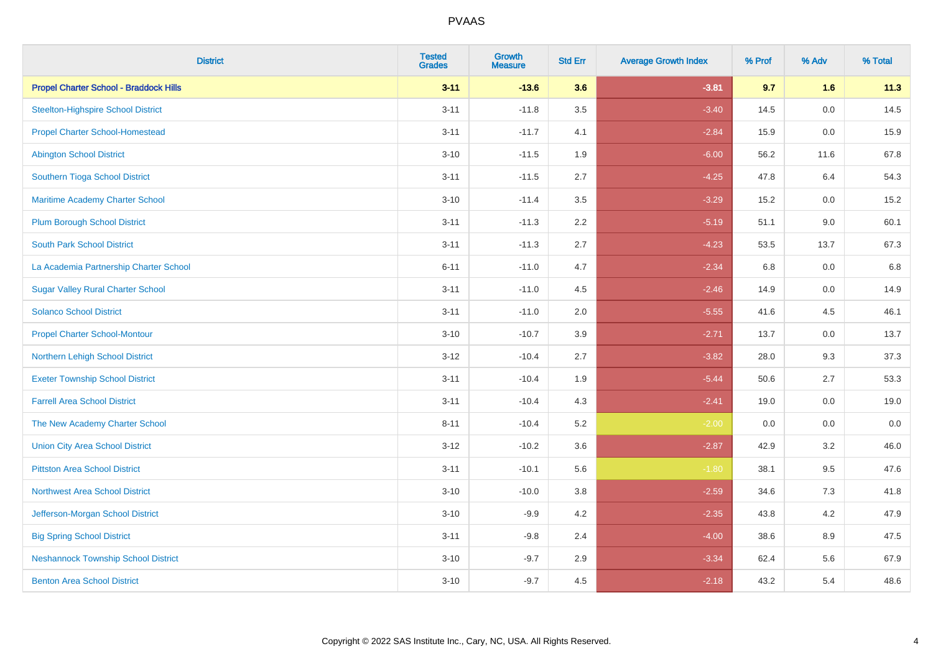| <b>District</b>                               | <b>Tested</b><br><b>Grades</b> | <b>Growth</b><br><b>Measure</b> | <b>Std Err</b> | <b>Average Growth Index</b> | % Prof | % Adv   | % Total |
|-----------------------------------------------|--------------------------------|---------------------------------|----------------|-----------------------------|--------|---------|---------|
| <b>Propel Charter School - Braddock Hills</b> | $3 - 11$                       | $-13.6$                         | 3.6            | $-3.81$                     | 9.7    | 1.6     | 11.3    |
| <b>Steelton-Highspire School District</b>     | $3 - 11$                       | $-11.8$                         | 3.5            | $-3.40$                     | 14.5   | 0.0     | 14.5    |
| <b>Propel Charter School-Homestead</b>        | $3 - 11$                       | $-11.7$                         | 4.1            | $-2.84$                     | 15.9   | 0.0     | 15.9    |
| <b>Abington School District</b>               | $3 - 10$                       | $-11.5$                         | 1.9            | $-6.00$                     | 56.2   | 11.6    | 67.8    |
| Southern Tioga School District                | $3 - 11$                       | $-11.5$                         | 2.7            | $-4.25$                     | 47.8   | 6.4     | 54.3    |
| Maritime Academy Charter School               | $3 - 10$                       | $-11.4$                         | 3.5            | $-3.29$                     | 15.2   | 0.0     | 15.2    |
| <b>Plum Borough School District</b>           | $3 - 11$                       | $-11.3$                         | 2.2            | $-5.19$                     | 51.1   | 9.0     | 60.1    |
| <b>South Park School District</b>             | $3 - 11$                       | $-11.3$                         | 2.7            | $-4.23$                     | 53.5   | 13.7    | 67.3    |
| La Academia Partnership Charter School        | $6 - 11$                       | $-11.0$                         | 4.7            | $-2.34$                     | 6.8    | 0.0     | 6.8     |
| <b>Sugar Valley Rural Charter School</b>      | $3 - 11$                       | $-11.0$                         | 4.5            | $-2.46$                     | 14.9   | 0.0     | 14.9    |
| <b>Solanco School District</b>                | $3 - 11$                       | $-11.0$                         | 2.0            | $-5.55$                     | 41.6   | 4.5     | 46.1    |
| <b>Propel Charter School-Montour</b>          | $3 - 10$                       | $-10.7$                         | 3.9            | $-2.71$                     | 13.7   | 0.0     | 13.7    |
| Northern Lehigh School District               | $3 - 12$                       | $-10.4$                         | 2.7            | $-3.82$                     | 28.0   | 9.3     | 37.3    |
| <b>Exeter Township School District</b>        | $3 - 11$                       | $-10.4$                         | 1.9            | $-5.44$                     | 50.6   | 2.7     | 53.3    |
| <b>Farrell Area School District</b>           | $3 - 11$                       | $-10.4$                         | 4.3            | $-2.41$                     | 19.0   | 0.0     | 19.0    |
| The New Academy Charter School                | $8 - 11$                       | $-10.4$                         | 5.2            | $-2.00$                     | 0.0    | $0.0\,$ | $0.0\,$ |
| <b>Union City Area School District</b>        | $3 - 12$                       | $-10.2$                         | 3.6            | $-2.87$                     | 42.9   | 3.2     | 46.0    |
| <b>Pittston Area School District</b>          | $3 - 11$                       | $-10.1$                         | 5.6            | $-1.80$                     | 38.1   | 9.5     | 47.6    |
| <b>Northwest Area School District</b>         | $3 - 10$                       | $-10.0$                         | 3.8            | $-2.59$                     | 34.6   | $7.3$   | 41.8    |
| Jefferson-Morgan School District              | $3 - 10$                       | $-9.9$                          | 4.2            | $-2.35$                     | 43.8   | 4.2     | 47.9    |
| <b>Big Spring School District</b>             | $3 - 11$                       | $-9.8$                          | 2.4            | $-4.00$                     | 38.6   | 8.9     | 47.5    |
| <b>Neshannock Township School District</b>    | $3 - 10$                       | $-9.7$                          | 2.9            | $-3.34$                     | 62.4   | 5.6     | 67.9    |
| <b>Benton Area School District</b>            | $3 - 10$                       | $-9.7$                          | 4.5            | $-2.18$                     | 43.2   | 5.4     | 48.6    |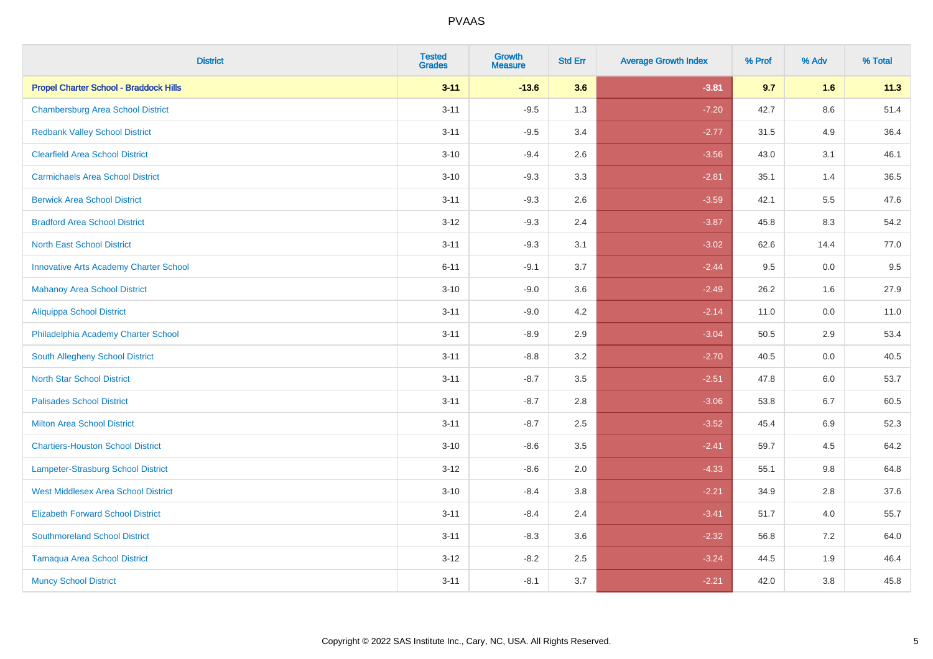| <b>District</b>                               | <b>Tested</b><br><b>Grades</b> | <b>Growth</b><br><b>Measure</b> | <b>Std Err</b> | <b>Average Growth Index</b> | % Prof | % Adv   | % Total |
|-----------------------------------------------|--------------------------------|---------------------------------|----------------|-----------------------------|--------|---------|---------|
| <b>Propel Charter School - Braddock Hills</b> | $3 - 11$                       | $-13.6$                         | 3.6            | $-3.81$                     | 9.7    | 1.6     | 11.3    |
| <b>Chambersburg Area School District</b>      | $3 - 11$                       | $-9.5$                          | 1.3            | $-7.20$                     | 42.7   | $8.6\,$ | 51.4    |
| <b>Redbank Valley School District</b>         | $3 - 11$                       | $-9.5$                          | 3.4            | $-2.77$                     | 31.5   | 4.9     | 36.4    |
| <b>Clearfield Area School District</b>        | $3 - 10$                       | $-9.4$                          | 2.6            | $-3.56$                     | 43.0   | 3.1     | 46.1    |
| <b>Carmichaels Area School District</b>       | $3 - 10$                       | $-9.3$                          | 3.3            | $-2.81$                     | 35.1   | 1.4     | 36.5    |
| <b>Berwick Area School District</b>           | $3 - 11$                       | $-9.3$                          | 2.6            | $-3.59$                     | 42.1   | 5.5     | 47.6    |
| <b>Bradford Area School District</b>          | $3 - 12$                       | $-9.3$                          | 2.4            | $-3.87$                     | 45.8   | 8.3     | 54.2    |
| <b>North East School District</b>             | $3 - 11$                       | $-9.3$                          | 3.1            | $-3.02$                     | 62.6   | 14.4    | 77.0    |
| <b>Innovative Arts Academy Charter School</b> | $6 - 11$                       | $-9.1$                          | 3.7            | $-2.44$                     | 9.5    | 0.0     | 9.5     |
| <b>Mahanoy Area School District</b>           | $3 - 10$                       | $-9.0$                          | 3.6            | $-2.49$                     | 26.2   | 1.6     | 27.9    |
| <b>Aliquippa School District</b>              | $3 - 11$                       | $-9.0$                          | 4.2            | $-2.14$                     | 11.0   | 0.0     | 11.0    |
| Philadelphia Academy Charter School           | $3 - 11$                       | $-8.9$                          | 2.9            | $-3.04$                     | 50.5   | 2.9     | 53.4    |
| South Allegheny School District               | $3 - 11$                       | $-8.8$                          | 3.2            | $-2.70$                     | 40.5   | $0.0\,$ | 40.5    |
| <b>North Star School District</b>             | $3 - 11$                       | $-8.7$                          | 3.5            | $-2.51$                     | 47.8   | 6.0     | 53.7    |
| <b>Palisades School District</b>              | $3 - 11$                       | $-8.7$                          | 2.8            | $-3.06$                     | 53.8   | 6.7     | 60.5    |
| <b>Milton Area School District</b>            | $3 - 11$                       | $-8.7$                          | 2.5            | $-3.52$                     | 45.4   | 6.9     | 52.3    |
| <b>Chartiers-Houston School District</b>      | $3 - 10$                       | $-8.6$                          | 3.5            | $-2.41$                     | 59.7   | 4.5     | 64.2    |
| <b>Lampeter-Strasburg School District</b>     | $3 - 12$                       | $-8.6$                          | 2.0            | $-4.33$                     | 55.1   | 9.8     | 64.8    |
| <b>West Middlesex Area School District</b>    | $3 - 10$                       | $-8.4$                          | $3.8\,$        | $-2.21$                     | 34.9   | 2.8     | 37.6    |
| <b>Elizabeth Forward School District</b>      | $3 - 11$                       | $-8.4$                          | 2.4            | $-3.41$                     | 51.7   | 4.0     | 55.7    |
| <b>Southmoreland School District</b>          | $3 - 11$                       | $-8.3$                          | 3.6            | $-2.32$                     | 56.8   | 7.2     | 64.0    |
| <b>Tamaqua Area School District</b>           | $3 - 12$                       | $-8.2$                          | 2.5            | $-3.24$                     | 44.5   | 1.9     | 46.4    |
| <b>Muncy School District</b>                  | $3 - 11$                       | $-8.1$                          | 3.7            | $-2.21$                     | 42.0   | 3.8     | 45.8    |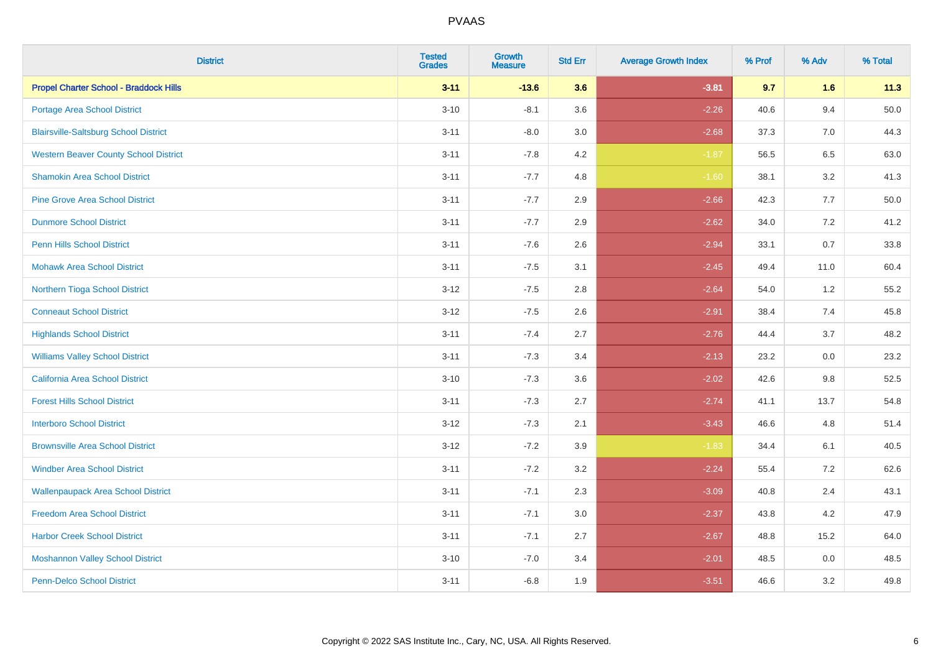| <b>District</b>                               | <b>Tested</b><br><b>Grades</b> | <b>Growth</b><br><b>Measure</b> | <b>Std Err</b> | <b>Average Growth Index</b> | % Prof | % Adv   | % Total |
|-----------------------------------------------|--------------------------------|---------------------------------|----------------|-----------------------------|--------|---------|---------|
| <b>Propel Charter School - Braddock Hills</b> | $3 - 11$                       | $-13.6$                         | 3.6            | $-3.81$                     | 9.7    | 1.6     | 11.3    |
| Portage Area School District                  | $3 - 10$                       | $-8.1$                          | 3.6            | $-2.26$                     | 40.6   | 9.4     | 50.0    |
| <b>Blairsville-Saltsburg School District</b>  | $3 - 11$                       | $-8.0$                          | 3.0            | $-2.68$                     | 37.3   | 7.0     | 44.3    |
| <b>Western Beaver County School District</b>  | $3 - 11$                       | $-7.8$                          | 4.2            | $-1.87$                     | 56.5   | 6.5     | 63.0    |
| <b>Shamokin Area School District</b>          | $3 - 11$                       | $-7.7$                          | 4.8            | $-1.60$                     | 38.1   | 3.2     | 41.3    |
| <b>Pine Grove Area School District</b>        | $3 - 11$                       | $-7.7$                          | 2.9            | $-2.66$                     | 42.3   | 7.7     | 50.0    |
| <b>Dunmore School District</b>                | $3 - 11$                       | $-7.7$                          | 2.9            | $-2.62$                     | 34.0   | 7.2     | 41.2    |
| <b>Penn Hills School District</b>             | $3 - 11$                       | $-7.6$                          | 2.6            | $-2.94$                     | 33.1   | 0.7     | 33.8    |
| <b>Mohawk Area School District</b>            | $3 - 11$                       | $-7.5$                          | 3.1            | $-2.45$                     | 49.4   | 11.0    | 60.4    |
| Northern Tioga School District                | $3-12$                         | $-7.5$                          | 2.8            | $-2.64$                     | 54.0   | $1.2\,$ | 55.2    |
| <b>Conneaut School District</b>               | $3-12$                         | $-7.5$                          | 2.6            | $-2.91$                     | 38.4   | 7.4     | 45.8    |
| <b>Highlands School District</b>              | $3 - 11$                       | $-7.4$                          | 2.7            | $-2.76$                     | 44.4   | 3.7     | 48.2    |
| <b>Williams Valley School District</b>        | $3 - 11$                       | $-7.3$                          | 3.4            | $-2.13$                     | 23.2   | $0.0\,$ | 23.2    |
| California Area School District               | $3 - 10$                       | $-7.3$                          | 3.6            | $-2.02$                     | 42.6   | $9.8\,$ | 52.5    |
| <b>Forest Hills School District</b>           | $3 - 11$                       | $-7.3$                          | 2.7            | $-2.74$                     | 41.1   | 13.7    | 54.8    |
| <b>Interboro School District</b>              | $3 - 12$                       | $-7.3$                          | 2.1            | $-3.43$                     | 46.6   | 4.8     | 51.4    |
| <b>Brownsville Area School District</b>       | $3 - 12$                       | $-7.2$                          | 3.9            | $-1.83$                     | 34.4   | 6.1     | 40.5    |
| <b>Windber Area School District</b>           | $3 - 11$                       | $-7.2$                          | 3.2            | $-2.24$                     | 55.4   | 7.2     | 62.6    |
| <b>Wallenpaupack Area School District</b>     | $3 - 11$                       | $-7.1$                          | 2.3            | $-3.09$                     | 40.8   | 2.4     | 43.1    |
| <b>Freedom Area School District</b>           | $3 - 11$                       | $-7.1$                          | 3.0            | $-2.37$                     | 43.8   | 4.2     | 47.9    |
| <b>Harbor Creek School District</b>           | $3 - 11$                       | $-7.1$                          | 2.7            | $-2.67$                     | 48.8   | 15.2    | 64.0    |
| <b>Moshannon Valley School District</b>       | $3 - 10$                       | $-7.0$                          | 3.4            | $-2.01$                     | 48.5   | $0.0\,$ | 48.5    |
| Penn-Delco School District                    | $3 - 11$                       | $-6.8$                          | 1.9            | $-3.51$                     | 46.6   | 3.2     | 49.8    |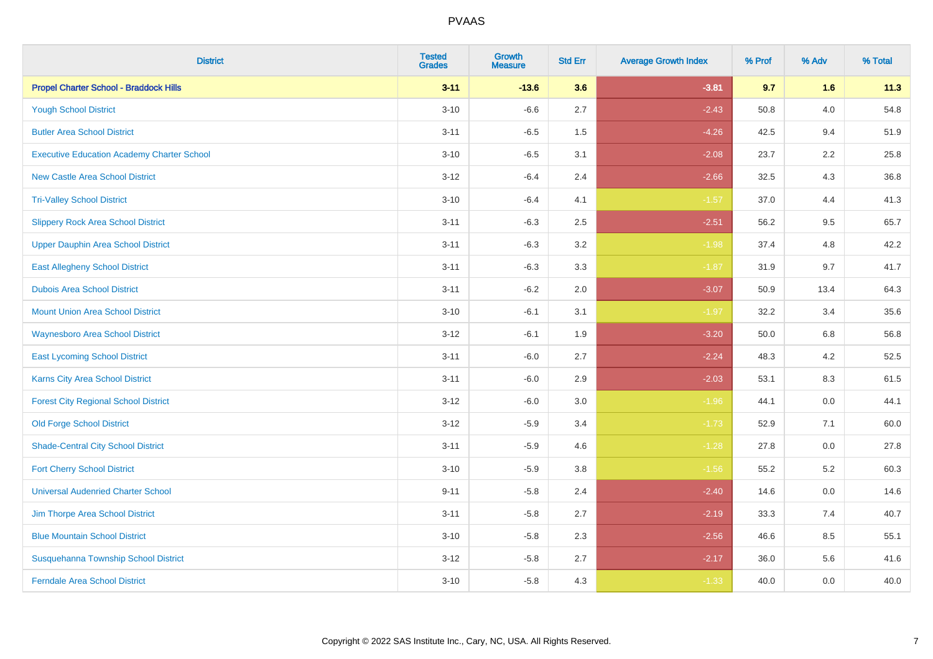| <b>District</b>                                   | <b>Tested</b><br><b>Grades</b> | <b>Growth</b><br><b>Measure</b> | <b>Std Err</b> | <b>Average Growth Index</b> | % Prof | % Adv   | % Total |
|---------------------------------------------------|--------------------------------|---------------------------------|----------------|-----------------------------|--------|---------|---------|
| <b>Propel Charter School - Braddock Hills</b>     | $3 - 11$                       | $-13.6$                         | 3.6            | $-3.81$                     | 9.7    | 1.6     | 11.3    |
| <b>Yough School District</b>                      | $3 - 10$                       | $-6.6$                          | 2.7            | $-2.43$                     | 50.8   | $4.0\,$ | 54.8    |
| <b>Butler Area School District</b>                | $3 - 11$                       | $-6.5$                          | 1.5            | $-4.26$                     | 42.5   | 9.4     | 51.9    |
| <b>Executive Education Academy Charter School</b> | $3 - 10$                       | $-6.5$                          | 3.1            | $-2.08$                     | 23.7   | 2.2     | 25.8    |
| <b>New Castle Area School District</b>            | $3 - 12$                       | $-6.4$                          | 2.4            | $-2.66$                     | 32.5   | 4.3     | 36.8    |
| <b>Tri-Valley School District</b>                 | $3 - 10$                       | $-6.4$                          | 4.1            | $-1.57$                     | 37.0   | 4.4     | 41.3    |
| <b>Slippery Rock Area School District</b>         | $3 - 11$                       | $-6.3$                          | 2.5            | $-2.51$                     | 56.2   | 9.5     | 65.7    |
| <b>Upper Dauphin Area School District</b>         | $3 - 11$                       | $-6.3$                          | 3.2            | $-1.98$                     | 37.4   | 4.8     | 42.2    |
| <b>East Allegheny School District</b>             | $3 - 11$                       | $-6.3$                          | 3.3            | $-1.87$                     | 31.9   | 9.7     | 41.7    |
| <b>Dubois Area School District</b>                | $3 - 11$                       | $-6.2$                          | 2.0            | $-3.07$                     | 50.9   | 13.4    | 64.3    |
| <b>Mount Union Area School District</b>           | $3 - 10$                       | $-6.1$                          | 3.1            | $-1.97$                     | 32.2   | 3.4     | 35.6    |
| <b>Waynesboro Area School District</b>            | $3 - 12$                       | $-6.1$                          | 1.9            | $-3.20$                     | 50.0   | 6.8     | 56.8    |
| <b>East Lycoming School District</b>              | $3 - 11$                       | $-6.0$                          | 2.7            | $-2.24$                     | 48.3   | $4.2\,$ | 52.5    |
| <b>Karns City Area School District</b>            | $3 - 11$                       | $-6.0$                          | 2.9            | $-2.03$                     | 53.1   | 8.3     | 61.5    |
| <b>Forest City Regional School District</b>       | $3 - 12$                       | $-6.0$                          | 3.0            | $-1.96$                     | 44.1   | $0.0\,$ | 44.1    |
| <b>Old Forge School District</b>                  | $3 - 12$                       | $-5.9$                          | 3.4            | $-1.73$                     | 52.9   | 7.1     | 60.0    |
| <b>Shade-Central City School District</b>         | $3 - 11$                       | $-5.9$                          | 4.6            | $-1.28$                     | 27.8   | 0.0     | 27.8    |
| <b>Fort Cherry School District</b>                | $3 - 10$                       | $-5.9$                          | 3.8            | $-1.56$                     | 55.2   | 5.2     | 60.3    |
| <b>Universal Audenried Charter School</b>         | $9 - 11$                       | $-5.8$                          | 2.4            | $-2.40$                     | 14.6   | $0.0\,$ | 14.6    |
| Jim Thorpe Area School District                   | $3 - 11$                       | $-5.8$                          | 2.7            | $-2.19$                     | 33.3   | 7.4     | 40.7    |
| <b>Blue Mountain School District</b>              | $3 - 10$                       | $-5.8$                          | 2.3            | $-2.56$                     | 46.6   | 8.5     | 55.1    |
| Susquehanna Township School District              | $3 - 12$                       | $-5.8$                          | 2.7            | $-2.17$                     | 36.0   | 5.6     | 41.6    |
| <b>Ferndale Area School District</b>              | $3 - 10$                       | $-5.8$                          | 4.3            | $-1.33$                     | 40.0   | 0.0     | 40.0    |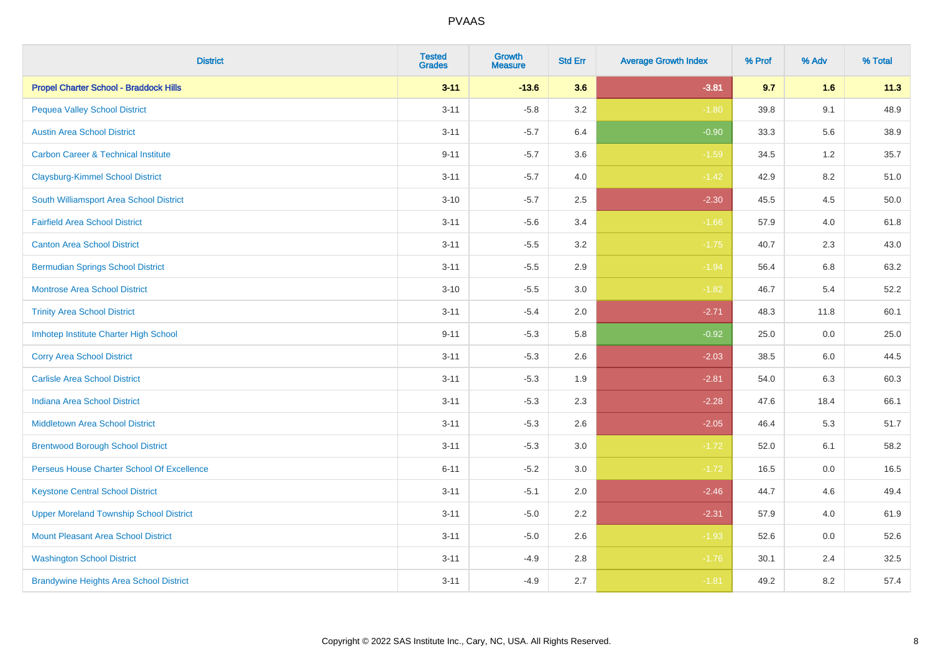| <b>District</b>                                | <b>Tested</b><br><b>Grades</b> | <b>Growth</b><br><b>Measure</b> | <b>Std Err</b> | <b>Average Growth Index</b> | % Prof | % Adv | % Total |
|------------------------------------------------|--------------------------------|---------------------------------|----------------|-----------------------------|--------|-------|---------|
| <b>Propel Charter School - Braddock Hills</b>  | $3 - 11$                       | $-13.6$                         | 3.6            | $-3.81$                     | 9.7    | 1.6   | 11.3    |
| <b>Pequea Valley School District</b>           | $3 - 11$                       | $-5.8$                          | $3.2\,$        | $-1.80$                     | 39.8   | 9.1   | 48.9    |
| <b>Austin Area School District</b>             | $3 - 11$                       | $-5.7$                          | 6.4            | $-0.90$                     | 33.3   | 5.6   | 38.9    |
| <b>Carbon Career &amp; Technical Institute</b> | $9 - 11$                       | $-5.7$                          | 3.6            | $-1.59$                     | 34.5   | 1.2   | 35.7    |
| <b>Claysburg-Kimmel School District</b>        | $3 - 11$                       | $-5.7$                          | 4.0            | $-1.42$                     | 42.9   | 8.2   | 51.0    |
| South Williamsport Area School District        | $3 - 10$                       | $-5.7$                          | 2.5            | $-2.30$                     | 45.5   | 4.5   | 50.0    |
| <b>Fairfield Area School District</b>          | $3 - 11$                       | $-5.6$                          | 3.4            | $-1.66$                     | 57.9   | 4.0   | 61.8    |
| <b>Canton Area School District</b>             | $3 - 11$                       | $-5.5$                          | 3.2            | $-1.75$                     | 40.7   | 2.3   | 43.0    |
| <b>Bermudian Springs School District</b>       | $3 - 11$                       | $-5.5$                          | 2.9            | $-1.94$                     | 56.4   | 6.8   | 63.2    |
| <b>Montrose Area School District</b>           | $3 - 10$                       | $-5.5$                          | 3.0            | $-1.82$                     | 46.7   | 5.4   | 52.2    |
| <b>Trinity Area School District</b>            | $3 - 11$                       | $-5.4$                          | 2.0            | $-2.71$                     | 48.3   | 11.8  | 60.1    |
| Imhotep Institute Charter High School          | $9 - 11$                       | $-5.3$                          | 5.8            | $-0.92$                     | 25.0   | 0.0   | 25.0    |
| <b>Corry Area School District</b>              | $3 - 11$                       | $-5.3$                          | 2.6            | $-2.03$                     | 38.5   | 6.0   | 44.5    |
| <b>Carlisle Area School District</b>           | $3 - 11$                       | $-5.3$                          | 1.9            | $-2.81$                     | 54.0   | 6.3   | 60.3    |
| <b>Indiana Area School District</b>            | $3 - 11$                       | $-5.3$                          | 2.3            | $-2.28$                     | 47.6   | 18.4  | 66.1    |
| <b>Middletown Area School District</b>         | $3 - 11$                       | $-5.3$                          | 2.6            | $-2.05$                     | 46.4   | 5.3   | 51.7    |
| <b>Brentwood Borough School District</b>       | $3 - 11$                       | $-5.3$                          | 3.0            | $-1.72$                     | 52.0   | 6.1   | 58.2    |
| Perseus House Charter School Of Excellence     | $6 - 11$                       | $-5.2$                          | 3.0            | $-1.72$                     | 16.5   | 0.0   | 16.5    |
| <b>Keystone Central School District</b>        | $3 - 11$                       | $-5.1$                          | 2.0            | $-2.46$                     | 44.7   | 4.6   | 49.4    |
| <b>Upper Moreland Township School District</b> | $3 - 11$                       | $-5.0$                          | 2.2            | $-2.31$                     | 57.9   | 4.0   | 61.9    |
| <b>Mount Pleasant Area School District</b>     | $3 - 11$                       | $-5.0$                          | 2.6            | $-1.93$                     | 52.6   | 0.0   | 52.6    |
| <b>Washington School District</b>              | $3 - 11$                       | $-4.9$                          | 2.8            | $-1.76$                     | 30.1   | 2.4   | 32.5    |
| <b>Brandywine Heights Area School District</b> | $3 - 11$                       | $-4.9$                          | 2.7            | $-1.81$                     | 49.2   | 8.2   | 57.4    |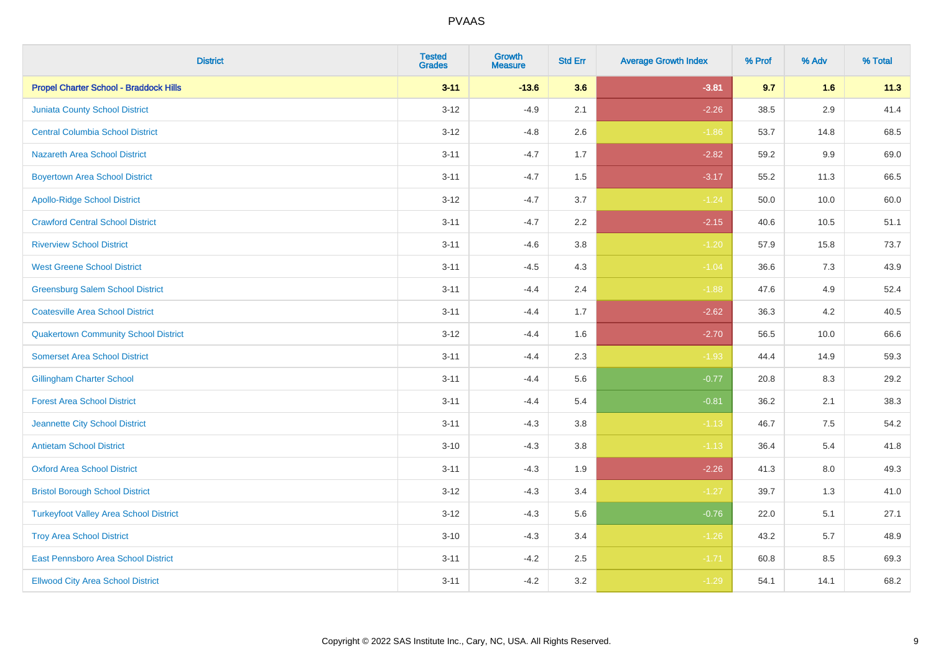| <b>District</b>                               | <b>Tested</b><br><b>Grades</b> | <b>Growth</b><br><b>Measure</b> | <b>Std Err</b> | <b>Average Growth Index</b> | % Prof | % Adv   | % Total |
|-----------------------------------------------|--------------------------------|---------------------------------|----------------|-----------------------------|--------|---------|---------|
| <b>Propel Charter School - Braddock Hills</b> | $3 - 11$                       | $-13.6$                         | 3.6            | $-3.81$                     | 9.7    | 1.6     | 11.3    |
| Juniata County School District                | $3 - 12$                       | $-4.9$                          | 2.1            | $-2.26$                     | 38.5   | $2.9\,$ | 41.4    |
| <b>Central Columbia School District</b>       | $3 - 12$                       | $-4.8$                          | 2.6            | $-1.86$                     | 53.7   | 14.8    | 68.5    |
| Nazareth Area School District                 | $3 - 11$                       | $-4.7$                          | 1.7            | $-2.82$                     | 59.2   | 9.9     | 69.0    |
| <b>Boyertown Area School District</b>         | $3 - 11$                       | $-4.7$                          | 1.5            | $-3.17$                     | 55.2   | 11.3    | 66.5    |
| <b>Apollo-Ridge School District</b>           | $3 - 12$                       | $-4.7$                          | 3.7            | $-1.24$                     | 50.0   | 10.0    | 60.0    |
| <b>Crawford Central School District</b>       | $3 - 11$                       | $-4.7$                          | 2.2            | $-2.15$                     | 40.6   | 10.5    | 51.1    |
| <b>Riverview School District</b>              | $3 - 11$                       | $-4.6$                          | 3.8            | $-1.20$                     | 57.9   | 15.8    | 73.7    |
| <b>West Greene School District</b>            | $3 - 11$                       | $-4.5$                          | 4.3            | $-1.04$                     | 36.6   | 7.3     | 43.9    |
| <b>Greensburg Salem School District</b>       | $3 - 11$                       | $-4.4$                          | 2.4            | $-1.88$                     | 47.6   | 4.9     | 52.4    |
| <b>Coatesville Area School District</b>       | $3 - 11$                       | $-4.4$                          | 1.7            | $-2.62$                     | 36.3   | 4.2     | 40.5    |
| <b>Quakertown Community School District</b>   | $3 - 12$                       | $-4.4$                          | 1.6            | $-2.70$                     | 56.5   | 10.0    | 66.6    |
| <b>Somerset Area School District</b>          | $3 - 11$                       | $-4.4$                          | 2.3            | $-1.93$                     | 44.4   | 14.9    | 59.3    |
| <b>Gillingham Charter School</b>              | $3 - 11$                       | $-4.4$                          | 5.6            | $-0.77$                     | 20.8   | 8.3     | 29.2    |
| <b>Forest Area School District</b>            | $3 - 11$                       | $-4.4$                          | 5.4            | $-0.81$                     | 36.2   | 2.1     | 38.3    |
| Jeannette City School District                | $3 - 11$                       | $-4.3$                          | 3.8            | $-1.13$                     | 46.7   | 7.5     | 54.2    |
| <b>Antietam School District</b>               | $3 - 10$                       | $-4.3$                          | $3.8\,$        | $-1.13$                     | 36.4   | 5.4     | 41.8    |
| <b>Oxford Area School District</b>            | $3 - 11$                       | $-4.3$                          | 1.9            | $-2.26$                     | 41.3   | 8.0     | 49.3    |
| <b>Bristol Borough School District</b>        | $3-12$                         | $-4.3$                          | 3.4            | $-1.27$                     | 39.7   | 1.3     | 41.0    |
| <b>Turkeyfoot Valley Area School District</b> | $3 - 12$                       | $-4.3$                          | 5.6            | $-0.76$                     | 22.0   | 5.1     | 27.1    |
| <b>Troy Area School District</b>              | $3 - 10$                       | $-4.3$                          | 3.4            | $-1.26$                     | 43.2   | 5.7     | 48.9    |
| East Pennsboro Area School District           | $3 - 11$                       | $-4.2$                          | 2.5            | $-1.71$                     | 60.8   | 8.5     | 69.3    |
| <b>Ellwood City Area School District</b>      | $3 - 11$                       | $-4.2$                          | 3.2            | $-1.29$                     | 54.1   | 14.1    | 68.2    |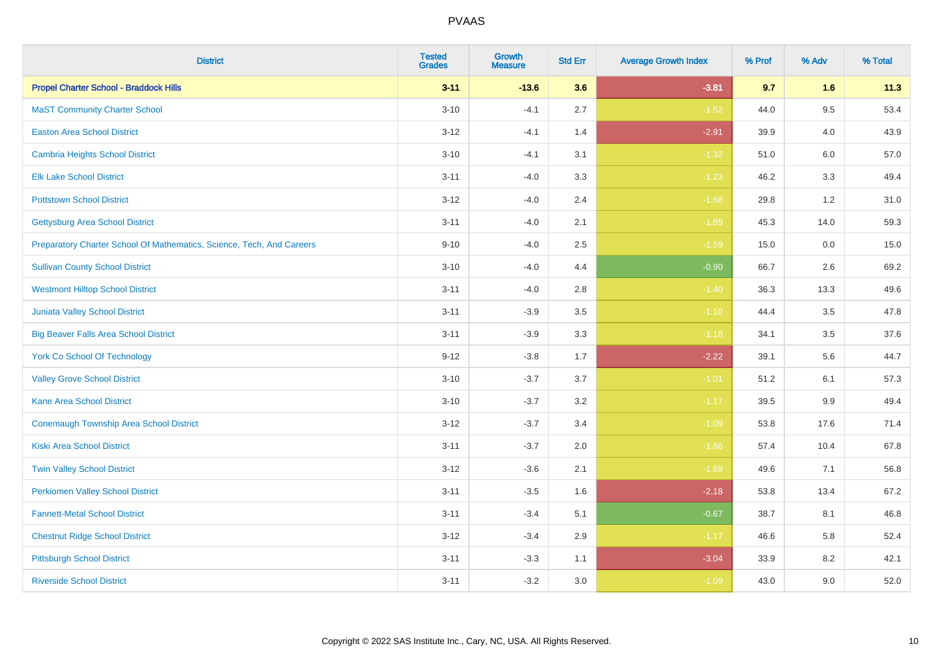| <b>District</b>                                                       | <b>Tested</b><br><b>Grades</b> | Growth<br><b>Measure</b> | <b>Std Err</b> | <b>Average Growth Index</b> | % Prof | % Adv | % Total |
|-----------------------------------------------------------------------|--------------------------------|--------------------------|----------------|-----------------------------|--------|-------|---------|
| <b>Propel Charter School - Braddock Hills</b>                         | $3 - 11$                       | $-13.6$                  | 3.6            | $-3.81$                     | 9.7    | 1.6   | 11.3    |
| <b>MaST Community Charter School</b>                                  | $3 - 10$                       | $-4.1$                   | 2.7            | $-1.52$                     | 44.0   | 9.5   | 53.4    |
| <b>Easton Area School District</b>                                    | $3 - 12$                       | $-4.1$                   | 1.4            | $-2.91$                     | 39.9   | 4.0   | 43.9    |
| <b>Cambria Heights School District</b>                                | $3 - 10$                       | $-4.1$                   | 3.1            | $-1.32$                     | 51.0   | 6.0   | 57.0    |
| <b>Elk Lake School District</b>                                       | $3 - 11$                       | $-4.0$                   | 3.3            | $-1.23$                     | 46.2   | 3.3   | 49.4    |
| <b>Pottstown School District</b>                                      | $3 - 12$                       | $-4.0$                   | 2.4            | $-1.68$                     | 29.8   | 1.2   | 31.0    |
| <b>Gettysburg Area School District</b>                                | $3 - 11$                       | $-4.0$                   | 2.1            | $-1.89$                     | 45.3   | 14.0  | 59.3    |
| Preparatory Charter School Of Mathematics, Science, Tech, And Careers | $9 - 10$                       | $-4.0$                   | 2.5            | $-1.59$                     | 15.0   | 0.0   | 15.0    |
| <b>Sullivan County School District</b>                                | $3 - 10$                       | $-4.0$                   | 4.4            | $-0.90$                     | 66.7   | 2.6   | 69.2    |
| <b>Westmont Hilltop School District</b>                               | $3 - 11$                       | $-4.0$                   | 2.8            | $-1.40$                     | 36.3   | 13.3  | 49.6    |
| Juniata Valley School District                                        | $3 - 11$                       | $-3.9$                   | 3.5            | $-1.10$                     | 44.4   | 3.5   | 47.8    |
| <b>Big Beaver Falls Area School District</b>                          | $3 - 11$                       | $-3.9$                   | 3.3            | $-1.18$                     | 34.1   | 3.5   | 37.6    |
| <b>York Co School Of Technology</b>                                   | $9 - 12$                       | $-3.8$                   | 1.7            | $-2.22$                     | 39.1   | 5.6   | 44.7    |
| <b>Valley Grove School District</b>                                   | $3 - 10$                       | $-3.7$                   | 3.7            | $-1.01$                     | 51.2   | 6.1   | 57.3    |
| <b>Kane Area School District</b>                                      | $3 - 10$                       | $-3.7$                   | 3.2            | $-1.17$                     | 39.5   | 9.9   | 49.4    |
| Conemaugh Township Area School District                               | $3 - 12$                       | $-3.7$                   | 3.4            | $-1.09$                     | 53.8   | 17.6  | 71.4    |
| <b>Kiski Area School District</b>                                     | $3 - 11$                       | $-3.7$                   | 2.0            | $-1.86$                     | 57.4   | 10.4  | 67.8    |
| <b>Twin Valley School District</b>                                    | $3 - 12$                       | $-3.6$                   | 2.1            | $-1.69$                     | 49.6   | 7.1   | 56.8    |
| <b>Perkiomen Valley School District</b>                               | $3 - 11$                       | $-3.5$                   | 1.6            | $-2.18$                     | 53.8   | 13.4  | 67.2    |
| <b>Fannett-Metal School District</b>                                  | $3 - 11$                       | $-3.4$                   | 5.1            | $-0.67$                     | 38.7   | 8.1   | 46.8    |
| <b>Chestnut Ridge School District</b>                                 | $3 - 12$                       | $-3.4$                   | 2.9            | $-1.17$                     | 46.6   | 5.8   | 52.4    |
| <b>Pittsburgh School District</b>                                     | $3 - 11$                       | $-3.3$                   | 1.1            | $-3.04$                     | 33.9   | 8.2   | 42.1    |
| <b>Riverside School District</b>                                      | $3 - 11$                       | $-3.2$                   | 3.0            | $-1.09$                     | 43.0   | 9.0   | 52.0    |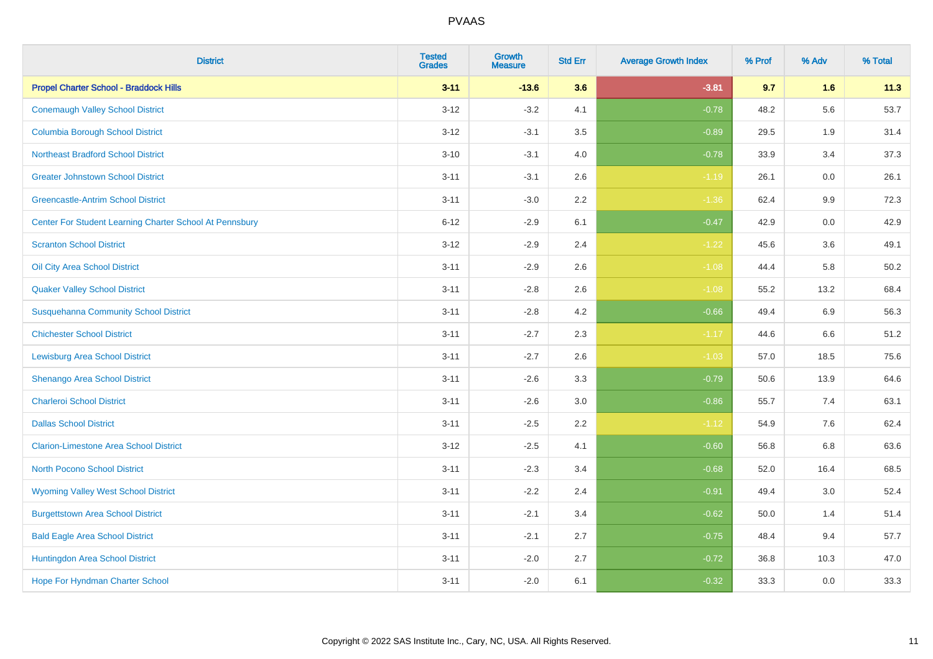| <b>District</b>                                         | <b>Tested</b><br><b>Grades</b> | <b>Growth</b><br><b>Measure</b> | <b>Std Err</b> | <b>Average Growth Index</b> | % Prof | % Adv   | % Total |
|---------------------------------------------------------|--------------------------------|---------------------------------|----------------|-----------------------------|--------|---------|---------|
| <b>Propel Charter School - Braddock Hills</b>           | $3 - 11$                       | $-13.6$                         | 3.6            | $-3.81$                     | 9.7    | 1.6     | 11.3    |
| <b>Conemaugh Valley School District</b>                 | $3 - 12$                       | $-3.2$                          | 4.1            | $-0.78$                     | 48.2   | 5.6     | 53.7    |
| <b>Columbia Borough School District</b>                 | $3 - 12$                       | $-3.1$                          | 3.5            | $-0.89$                     | 29.5   | 1.9     | 31.4    |
| <b>Northeast Bradford School District</b>               | $3 - 10$                       | $-3.1$                          | 4.0            | $-0.78$                     | 33.9   | 3.4     | 37.3    |
| <b>Greater Johnstown School District</b>                | $3 - 11$                       | $-3.1$                          | 2.6            | $-1.19$                     | 26.1   | 0.0     | 26.1    |
| <b>Greencastle-Antrim School District</b>               | $3 - 11$                       | $-3.0$                          | 2.2            | $-1.36$                     | 62.4   | 9.9     | 72.3    |
| Center For Student Learning Charter School At Pennsbury | $6 - 12$                       | $-2.9$                          | 6.1            | $-0.47$                     | 42.9   | 0.0     | 42.9    |
| <b>Scranton School District</b>                         | $3 - 12$                       | $-2.9$                          | 2.4            | $-1.22$                     | 45.6   | 3.6     | 49.1    |
| Oil City Area School District                           | $3 - 11$                       | $-2.9$                          | 2.6            | $-1.08$                     | 44.4   | 5.8     | 50.2    |
| <b>Quaker Valley School District</b>                    | $3 - 11$                       | $-2.8$                          | 2.6            | $-1.08$                     | 55.2   | 13.2    | 68.4    |
| <b>Susquehanna Community School District</b>            | $3 - 11$                       | $-2.8$                          | 4.2            | $-0.66$                     | 49.4   | 6.9     | 56.3    |
| <b>Chichester School District</b>                       | $3 - 11$                       | $-2.7$                          | 2.3            | $-1.17$                     | 44.6   | 6.6     | 51.2    |
| <b>Lewisburg Area School District</b>                   | $3 - 11$                       | $-2.7$                          | 2.6            | $-1.03$                     | 57.0   | 18.5    | 75.6    |
| Shenango Area School District                           | $3 - 11$                       | $-2.6$                          | 3.3            | $-0.79$                     | 50.6   | 13.9    | 64.6    |
| <b>Charleroi School District</b>                        | $3 - 11$                       | $-2.6$                          | 3.0            | $-0.86$                     | 55.7   | 7.4     | 63.1    |
| <b>Dallas School District</b>                           | $3 - 11$                       | $-2.5$                          | 2.2            | $-1.12$                     | 54.9   | $7.6\,$ | 62.4    |
| <b>Clarion-Limestone Area School District</b>           | $3 - 12$                       | $-2.5$                          | 4.1            | $-0.60$                     | 56.8   | 6.8     | 63.6    |
| North Pocono School District                            | $3 - 11$                       | $-2.3$                          | 3.4            | $-0.68$                     | 52.0   | 16.4    | 68.5    |
| <b>Wyoming Valley West School District</b>              | $3 - 11$                       | $-2.2$                          | 2.4            | $-0.91$                     | 49.4   | 3.0     | 52.4    |
| <b>Burgettstown Area School District</b>                | $3 - 11$                       | $-2.1$                          | 3.4            | $-0.62$                     | 50.0   | 1.4     | 51.4    |
| <b>Bald Eagle Area School District</b>                  | $3 - 11$                       | $-2.1$                          | 2.7            | $-0.75$                     | 48.4   | 9.4     | 57.7    |
| Huntingdon Area School District                         | $3 - 11$                       | $-2.0$                          | 2.7            | $-0.72$                     | 36.8   | 10.3    | 47.0    |
| <b>Hope For Hyndman Charter School</b>                  | $3 - 11$                       | $-2.0$                          | 6.1            | $-0.32$                     | 33.3   | 0.0     | 33.3    |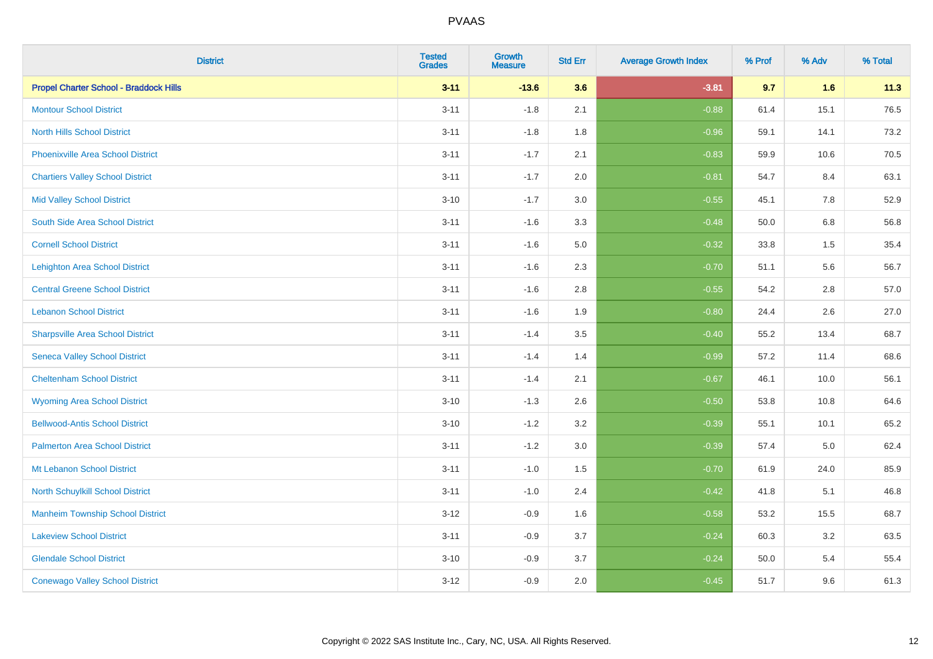| <b>District</b>                               | <b>Tested</b><br><b>Grades</b> | <b>Growth</b><br><b>Measure</b> | <b>Std Err</b> | <b>Average Growth Index</b> | % Prof | % Adv | % Total |
|-----------------------------------------------|--------------------------------|---------------------------------|----------------|-----------------------------|--------|-------|---------|
| <b>Propel Charter School - Braddock Hills</b> | $3 - 11$                       | $-13.6$                         | 3.6            | $-3.81$                     | 9.7    | 1.6   | 11.3    |
| <b>Montour School District</b>                | $3 - 11$                       | $-1.8$                          | 2.1            | $-0.88$                     | 61.4   | 15.1  | 76.5    |
| <b>North Hills School District</b>            | $3 - 11$                       | $-1.8$                          | 1.8            | $-0.96$                     | 59.1   | 14.1  | 73.2    |
| <b>Phoenixville Area School District</b>      | $3 - 11$                       | $-1.7$                          | 2.1            | $-0.83$                     | 59.9   | 10.6  | 70.5    |
| <b>Chartiers Valley School District</b>       | $3 - 11$                       | $-1.7$                          | 2.0            | $-0.81$                     | 54.7   | 8.4   | 63.1    |
| <b>Mid Valley School District</b>             | $3 - 10$                       | $-1.7$                          | 3.0            | $-0.55$                     | 45.1   | 7.8   | 52.9    |
| South Side Area School District               | $3 - 11$                       | $-1.6$                          | 3.3            | $-0.48$                     | 50.0   | 6.8   | 56.8    |
| <b>Cornell School District</b>                | $3 - 11$                       | $-1.6$                          | 5.0            | $-0.32$                     | 33.8   | 1.5   | 35.4    |
| <b>Lehighton Area School District</b>         | $3 - 11$                       | $-1.6$                          | 2.3            | $-0.70$                     | 51.1   | 5.6   | 56.7    |
| <b>Central Greene School District</b>         | $3 - 11$                       | $-1.6$                          | 2.8            | $-0.55$                     | 54.2   | 2.8   | 57.0    |
| <b>Lebanon School District</b>                | $3 - 11$                       | $-1.6$                          | 1.9            | $-0.80$                     | 24.4   | 2.6   | 27.0    |
| <b>Sharpsville Area School District</b>       | $3 - 11$                       | $-1.4$                          | 3.5            | $-0.40$                     | 55.2   | 13.4  | 68.7    |
| <b>Seneca Valley School District</b>          | $3 - 11$                       | $-1.4$                          | 1.4            | $-0.99$                     | 57.2   | 11.4  | 68.6    |
| <b>Cheltenham School District</b>             | $3 - 11$                       | $-1.4$                          | 2.1            | $-0.67$                     | 46.1   | 10.0  | 56.1    |
| <b>Wyoming Area School District</b>           | $3 - 10$                       | $-1.3$                          | 2.6            | $-0.50$                     | 53.8   | 10.8  | 64.6    |
| <b>Bellwood-Antis School District</b>         | $3 - 10$                       | $-1.2$                          | 3.2            | $-0.39$                     | 55.1   | 10.1  | 65.2    |
| <b>Palmerton Area School District</b>         | $3 - 11$                       | $-1.2$                          | 3.0            | $-0.39$                     | 57.4   | 5.0   | 62.4    |
| Mt Lebanon School District                    | $3 - 11$                       | $-1.0$                          | 1.5            | $-0.70$                     | 61.9   | 24.0  | 85.9    |
| <b>North Schuylkill School District</b>       | $3 - 11$                       | $-1.0$                          | 2.4            | $-0.42$                     | 41.8   | 5.1   | 46.8    |
| <b>Manheim Township School District</b>       | $3 - 12$                       | $-0.9$                          | 1.6            | $-0.58$                     | 53.2   | 15.5  | 68.7    |
| <b>Lakeview School District</b>               | $3 - 11$                       | $-0.9$                          | 3.7            | $-0.24$                     | 60.3   | 3.2   | 63.5    |
| <b>Glendale School District</b>               | $3 - 10$                       | $-0.9$                          | 3.7            | $-0.24$                     | 50.0   | 5.4   | 55.4    |
| <b>Conewago Valley School District</b>        | $3-12$                         | $-0.9$                          | 2.0            | $-0.45$                     | 51.7   | 9.6   | 61.3    |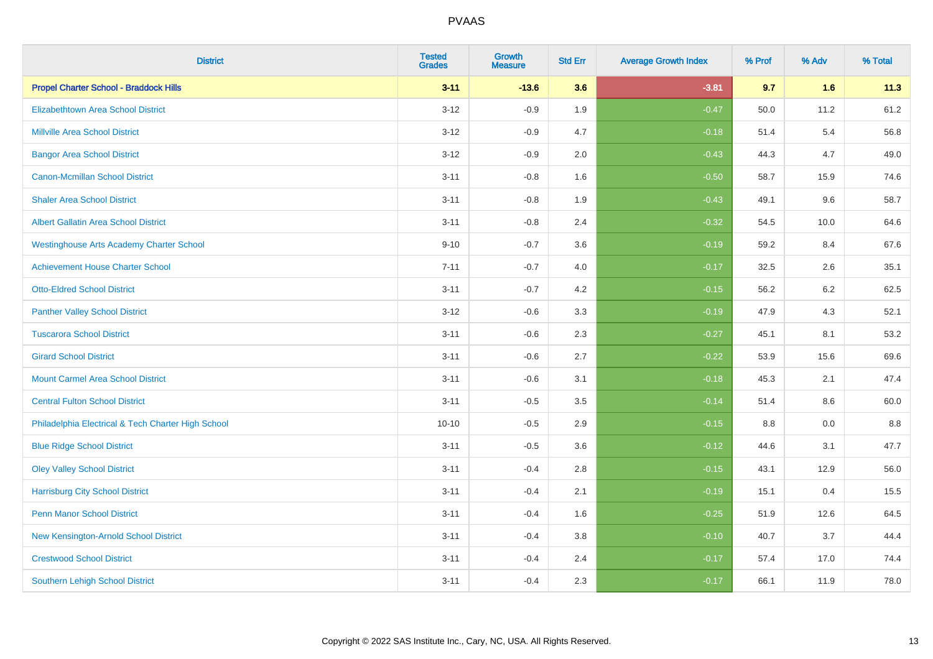| <b>District</b>                                    | <b>Tested</b><br><b>Grades</b> | <b>Growth</b><br><b>Measure</b> | <b>Std Err</b> | <b>Average Growth Index</b> | % Prof | % Adv   | % Total |
|----------------------------------------------------|--------------------------------|---------------------------------|----------------|-----------------------------|--------|---------|---------|
| <b>Propel Charter School - Braddock Hills</b>      | $3 - 11$                       | $-13.6$                         | 3.6            | $-3.81$                     | 9.7    | 1.6     | 11.3    |
| <b>Elizabethtown Area School District</b>          | $3 - 12$                       | $-0.9$                          | 1.9            | $-0.47$                     | 50.0   | 11.2    | 61.2    |
| <b>Millville Area School District</b>              | $3 - 12$                       | $-0.9$                          | 4.7            | $-0.18$                     | 51.4   | 5.4     | 56.8    |
| <b>Bangor Area School District</b>                 | $3 - 12$                       | $-0.9$                          | 2.0            | $-0.43$                     | 44.3   | 4.7     | 49.0    |
| <b>Canon-Mcmillan School District</b>              | $3 - 11$                       | $-0.8$                          | 1.6            | $-0.50$                     | 58.7   | 15.9    | 74.6    |
| <b>Shaler Area School District</b>                 | $3 - 11$                       | $-0.8$                          | 1.9            | $-0.43$                     | 49.1   | 9.6     | 58.7    |
| <b>Albert Gallatin Area School District</b>        | $3 - 11$                       | $-0.8$                          | 2.4            | $-0.32$                     | 54.5   | 10.0    | 64.6    |
| <b>Westinghouse Arts Academy Charter School</b>    | $9 - 10$                       | $-0.7$                          | 3.6            | $-0.19$                     | 59.2   | 8.4     | 67.6    |
| <b>Achievement House Charter School</b>            | $7 - 11$                       | $-0.7$                          | 4.0            | $-0.17$                     | 32.5   | 2.6     | 35.1    |
| <b>Otto-Eldred School District</b>                 | $3 - 11$                       | $-0.7$                          | 4.2            | $-0.15$                     | 56.2   | $6.2\,$ | 62.5    |
| <b>Panther Valley School District</b>              | $3 - 12$                       | $-0.6$                          | 3.3            | $-0.19$                     | 47.9   | 4.3     | 52.1    |
| <b>Tuscarora School District</b>                   | $3 - 11$                       | $-0.6$                          | 2.3            | $-0.27$                     | 45.1   | 8.1     | 53.2    |
| <b>Girard School District</b>                      | $3 - 11$                       | $-0.6$                          | 2.7            | $-0.22$                     | 53.9   | 15.6    | 69.6    |
| <b>Mount Carmel Area School District</b>           | $3 - 11$                       | $-0.6$                          | 3.1            | $-0.18$                     | 45.3   | 2.1     | 47.4    |
| <b>Central Fulton School District</b>              | $3 - 11$                       | $-0.5$                          | 3.5            | $-0.14$                     | 51.4   | 8.6     | 60.0    |
| Philadelphia Electrical & Tech Charter High School | $10 - 10$                      | $-0.5$                          | 2.9            | $-0.15$                     | 8.8    | 0.0     | 8.8     |
| <b>Blue Ridge School District</b>                  | $3 - 11$                       | $-0.5$                          | 3.6            | $-0.12$                     | 44.6   | 3.1     | 47.7    |
| <b>Oley Valley School District</b>                 | $3 - 11$                       | $-0.4$                          | 2.8            | $-0.15$                     | 43.1   | 12.9    | 56.0    |
| <b>Harrisburg City School District</b>             | $3 - 11$                       | $-0.4$                          | 2.1            | $-0.19$                     | 15.1   | 0.4     | 15.5    |
| <b>Penn Manor School District</b>                  | $3 - 11$                       | $-0.4$                          | 1.6            | $-0.25$                     | 51.9   | 12.6    | 64.5    |
| New Kensington-Arnold School District              | $3 - 11$                       | $-0.4$                          | 3.8            | $-0.10$                     | 40.7   | 3.7     | 44.4    |
| <b>Crestwood School District</b>                   | $3 - 11$                       | $-0.4$                          | 2.4            | $-0.17$                     | 57.4   | 17.0    | 74.4    |
| <b>Southern Lehigh School District</b>             | $3 - 11$                       | $-0.4$                          | 2.3            | $-0.17$                     | 66.1   | 11.9    | 78.0    |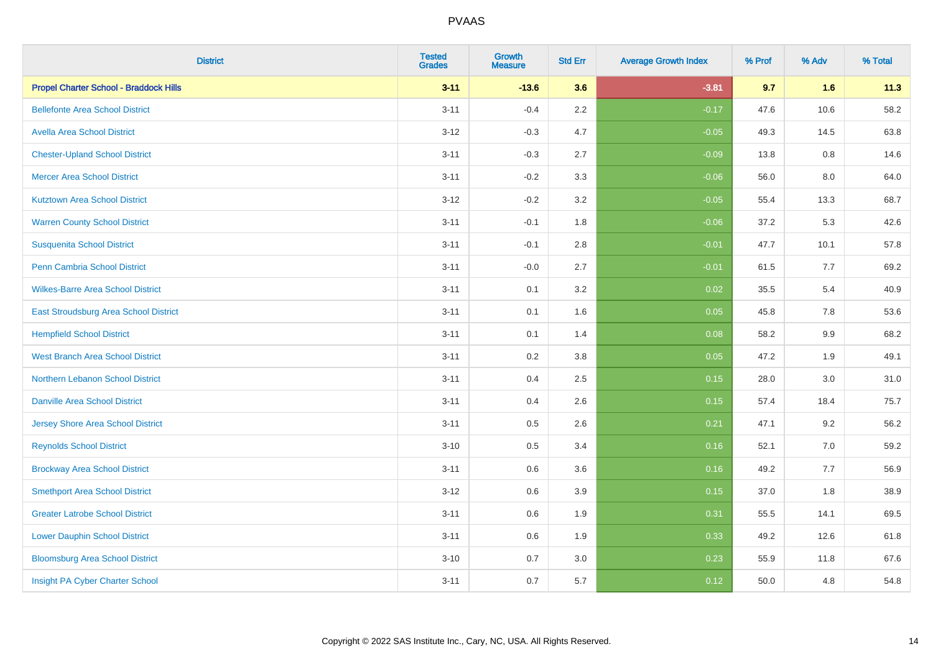| <b>District</b>                               | <b>Tested</b><br><b>Grades</b> | <b>Growth</b><br><b>Measure</b> | <b>Std Err</b> | <b>Average Growth Index</b> | % Prof | % Adv   | % Total |
|-----------------------------------------------|--------------------------------|---------------------------------|----------------|-----------------------------|--------|---------|---------|
| <b>Propel Charter School - Braddock Hills</b> | $3 - 11$                       | $-13.6$                         | 3.6            | $-3.81$                     | 9.7    | 1.6     | 11.3    |
| <b>Bellefonte Area School District</b>        | $3 - 11$                       | $-0.4$                          | 2.2            | $-0.17$                     | 47.6   | 10.6    | 58.2    |
| <b>Avella Area School District</b>            | $3 - 12$                       | $-0.3$                          | 4.7            | $-0.05$                     | 49.3   | 14.5    | 63.8    |
| <b>Chester-Upland School District</b>         | $3 - 11$                       | $-0.3$                          | 2.7            | $-0.09$                     | 13.8   | $0.8\,$ | 14.6    |
| <b>Mercer Area School District</b>            | $3 - 11$                       | $-0.2$                          | 3.3            | $-0.06$                     | 56.0   | 8.0     | 64.0    |
| <b>Kutztown Area School District</b>          | $3-12$                         | $-0.2$                          | 3.2            | $-0.05$                     | 55.4   | 13.3    | 68.7    |
| <b>Warren County School District</b>          | $3 - 11$                       | $-0.1$                          | 1.8            | $-0.06$                     | 37.2   | 5.3     | 42.6    |
| <b>Susquenita School District</b>             | $3 - 11$                       | $-0.1$                          | 2.8            | $-0.01$                     | 47.7   | 10.1    | 57.8    |
| Penn Cambria School District                  | $3 - 11$                       | $-0.0$                          | 2.7            | $-0.01$                     | 61.5   | 7.7     | 69.2    |
| <b>Wilkes-Barre Area School District</b>      | $3 - 11$                       | 0.1                             | 3.2            | 0.02                        | 35.5   | 5.4     | 40.9    |
| East Stroudsburg Area School District         | $3 - 11$                       | 0.1                             | 1.6            | 0.05                        | 45.8   | 7.8     | 53.6    |
| <b>Hempfield School District</b>              | $3 - 11$                       | 0.1                             | 1.4            | 0.08                        | 58.2   | 9.9     | 68.2    |
| <b>West Branch Area School District</b>       | $3 - 11$                       | 0.2                             | 3.8            | 0.05                        | 47.2   | 1.9     | 49.1    |
| <b>Northern Lebanon School District</b>       | $3 - 11$                       | 0.4                             | 2.5            | 0.15                        | 28.0   | 3.0     | 31.0    |
| <b>Danville Area School District</b>          | $3 - 11$                       | 0.4                             | 2.6            | 0.15                        | 57.4   | 18.4    | 75.7    |
| <b>Jersey Shore Area School District</b>      | $3 - 11$                       | 0.5                             | 2.6            | 0.21                        | 47.1   | 9.2     | 56.2    |
| <b>Reynolds School District</b>               | $3 - 10$                       | 0.5                             | 3.4            | 0.16                        | 52.1   | 7.0     | 59.2    |
| <b>Brockway Area School District</b>          | $3 - 11$                       | 0.6                             | 3.6            | 0.16                        | 49.2   | 7.7     | 56.9    |
| <b>Smethport Area School District</b>         | $3 - 12$                       | 0.6                             | 3.9            | 0.15                        | 37.0   | 1.8     | 38.9    |
| <b>Greater Latrobe School District</b>        | $3 - 11$                       | 0.6                             | 1.9            | 0.31                        | 55.5   | 14.1    | 69.5    |
| <b>Lower Dauphin School District</b>          | $3 - 11$                       | 0.6                             | 1.9            | 0.33                        | 49.2   | 12.6    | 61.8    |
| <b>Bloomsburg Area School District</b>        | $3 - 10$                       | 0.7                             | 3.0            | 0.23                        | 55.9   | 11.8    | 67.6    |
| Insight PA Cyber Charter School               | $3 - 11$                       | 0.7                             | 5.7            | 0.12                        | 50.0   | 4.8     | 54.8    |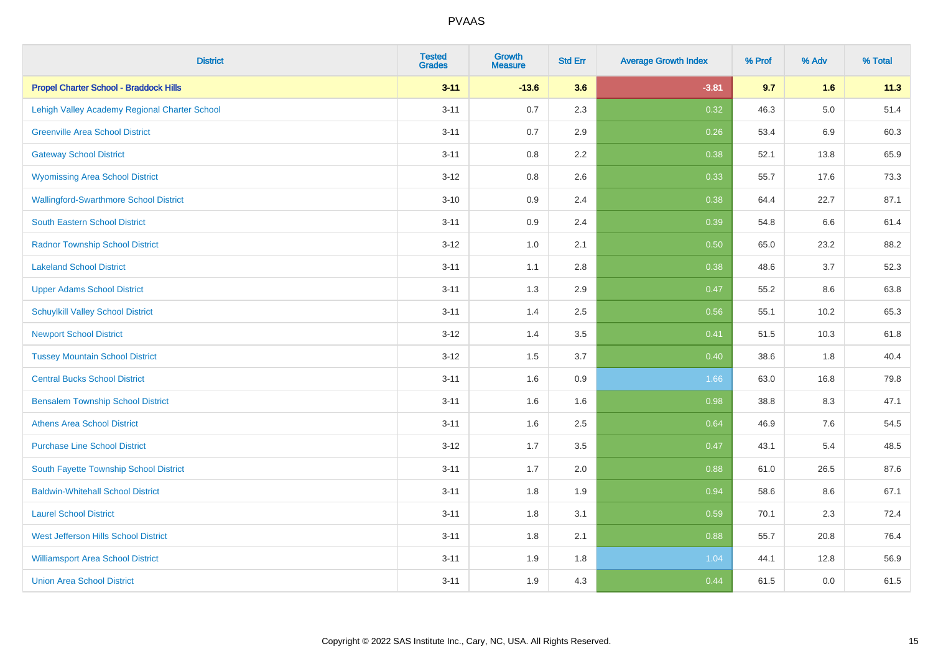| <b>District</b>                               | <b>Tested</b><br><b>Grades</b> | <b>Growth</b><br><b>Measure</b> | <b>Std Err</b> | <b>Average Growth Index</b> | % Prof | % Adv   | % Total |
|-----------------------------------------------|--------------------------------|---------------------------------|----------------|-----------------------------|--------|---------|---------|
| <b>Propel Charter School - Braddock Hills</b> | $3 - 11$                       | $-13.6$                         | 3.6            | $-3.81$                     | 9.7    | 1.6     | 11.3    |
| Lehigh Valley Academy Regional Charter School | $3 - 11$                       | 0.7                             | 2.3            | 0.32                        | 46.3   | $5.0\,$ | 51.4    |
| <b>Greenville Area School District</b>        | $3 - 11$                       | 0.7                             | 2.9            | 0.26                        | 53.4   | 6.9     | 60.3    |
| <b>Gateway School District</b>                | $3 - 11$                       | $0.8\,$                         | 2.2            | 0.38                        | 52.1   | 13.8    | 65.9    |
| <b>Wyomissing Area School District</b>        | $3 - 12$                       | 0.8                             | 2.6            | 0.33                        | 55.7   | 17.6    | 73.3    |
| <b>Wallingford-Swarthmore School District</b> | $3 - 10$                       | 0.9                             | 2.4            | 0.38                        | 64.4   | 22.7    | 87.1    |
| South Eastern School District                 | $3 - 11$                       | 0.9                             | 2.4            | 0.39                        | 54.8   | 6.6     | 61.4    |
| <b>Radnor Township School District</b>        | $3 - 12$                       | 1.0                             | 2.1            | 0.50                        | 65.0   | 23.2    | 88.2    |
| <b>Lakeland School District</b>               | $3 - 11$                       | 1.1                             | 2.8            | 0.38                        | 48.6   | 3.7     | 52.3    |
| <b>Upper Adams School District</b>            | $3 - 11$                       | 1.3                             | 2.9            | 0.47                        | 55.2   | 8.6     | 63.8    |
| <b>Schuylkill Valley School District</b>      | $3 - 11$                       | 1.4                             | 2.5            | 0.56                        | 55.1   | 10.2    | 65.3    |
| <b>Newport School District</b>                | $3 - 12$                       | 1.4                             | 3.5            | 0.41                        | 51.5   | 10.3    | 61.8    |
| <b>Tussey Mountain School District</b>        | $3 - 12$                       | 1.5                             | 3.7            | 0.40                        | 38.6   | 1.8     | 40.4    |
| <b>Central Bucks School District</b>          | $3 - 11$                       | 1.6                             | $0.9\,$        | 1.66                        | 63.0   | 16.8    | 79.8    |
| <b>Bensalem Township School District</b>      | $3 - 11$                       | 1.6                             | 1.6            | 0.98                        | 38.8   | 8.3     | 47.1    |
| <b>Athens Area School District</b>            | $3 - 11$                       | 1.6                             | 2.5            | 0.64                        | 46.9   | 7.6     | 54.5    |
| <b>Purchase Line School District</b>          | $3 - 12$                       | 1.7                             | 3.5            | 0.47                        | 43.1   | 5.4     | 48.5    |
| South Fayette Township School District        | $3 - 11$                       | 1.7                             | 2.0            | 0.88                        | 61.0   | 26.5    | 87.6    |
| <b>Baldwin-Whitehall School District</b>      | $3 - 11$                       | 1.8                             | 1.9            | 0.94                        | 58.6   | 8.6     | 67.1    |
| <b>Laurel School District</b>                 | $3 - 11$                       | 1.8                             | 3.1            | 0.59                        | 70.1   | 2.3     | 72.4    |
| <b>West Jefferson Hills School District</b>   | $3 - 11$                       | 1.8                             | 2.1            | 0.88                        | 55.7   | 20.8    | 76.4    |
| <b>Williamsport Area School District</b>      | $3 - 11$                       | 1.9                             | 1.8            | 1.04                        | 44.1   | 12.8    | 56.9    |
| <b>Union Area School District</b>             | $3 - 11$                       | 1.9                             | 4.3            | 0.44                        | 61.5   | 0.0     | 61.5    |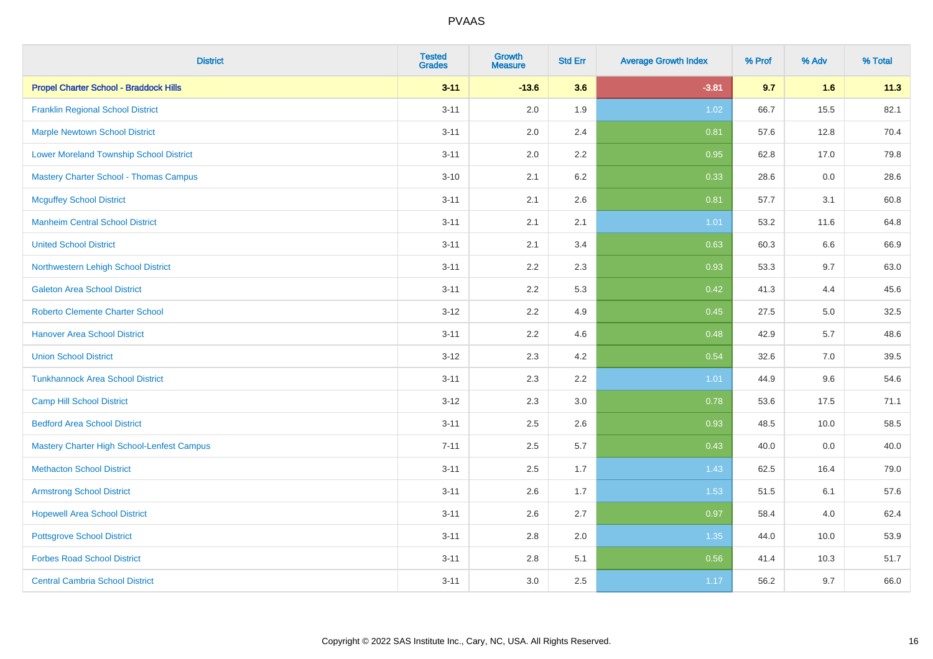| <b>District</b>                                | <b>Tested</b><br><b>Grades</b> | <b>Growth</b><br><b>Measure</b> | <b>Std Err</b> | <b>Average Growth Index</b> | % Prof | % Adv | % Total |
|------------------------------------------------|--------------------------------|---------------------------------|----------------|-----------------------------|--------|-------|---------|
| <b>Propel Charter School - Braddock Hills</b>  | $3 - 11$                       | $-13.6$                         | 3.6            | $-3.81$                     | 9.7    | 1.6   | 11.3    |
| <b>Franklin Regional School District</b>       | $3 - 11$                       | 2.0                             | 1.9            | 1.02                        | 66.7   | 15.5  | 82.1    |
| <b>Marple Newtown School District</b>          | $3 - 11$                       | 2.0                             | 2.4            | 0.81                        | 57.6   | 12.8  | 70.4    |
| <b>Lower Moreland Township School District</b> | $3 - 11$                       | 2.0                             | 2.2            | 0.95                        | 62.8   | 17.0  | 79.8    |
| <b>Mastery Charter School - Thomas Campus</b>  | $3 - 10$                       | 2.1                             | 6.2            | 0.33                        | 28.6   | 0.0   | 28.6    |
| <b>Mcguffey School District</b>                | $3 - 11$                       | 2.1                             | 2.6            | 0.81                        | 57.7   | 3.1   | 60.8    |
| <b>Manheim Central School District</b>         | $3 - 11$                       | 2.1                             | 2.1            | 1.01                        | 53.2   | 11.6  | 64.8    |
| <b>United School District</b>                  | $3 - 11$                       | 2.1                             | 3.4            | 0.63                        | 60.3   | 6.6   | 66.9    |
| Northwestern Lehigh School District            | $3 - 11$                       | 2.2                             | 2.3            | 0.93                        | 53.3   | 9.7   | 63.0    |
| <b>Galeton Area School District</b>            | $3 - 11$                       | 2.2                             | 5.3            | 0.42                        | 41.3   | 4.4   | 45.6    |
| <b>Roberto Clemente Charter School</b>         | $3 - 12$                       | 2.2                             | 4.9            | 0.45                        | 27.5   | 5.0   | 32.5    |
| <b>Hanover Area School District</b>            | $3 - 11$                       | 2.2                             | 4.6            | 0.48                        | 42.9   | 5.7   | 48.6    |
| <b>Union School District</b>                   | $3 - 12$                       | 2.3                             | 4.2            | 0.54                        | 32.6   | 7.0   | 39.5    |
| <b>Tunkhannock Area School District</b>        | $3 - 11$                       | 2.3                             | 2.2            | 1.01                        | 44.9   | 9.6   | 54.6    |
| <b>Camp Hill School District</b>               | $3 - 12$                       | 2.3                             | 3.0            | 0.78                        | 53.6   | 17.5  | 71.1    |
| <b>Bedford Area School District</b>            | $3 - 11$                       | 2.5                             | 2.6            | 0.93                        | 48.5   | 10.0  | 58.5    |
| Mastery Charter High School-Lenfest Campus     | $7 - 11$                       | 2.5                             | 5.7            | 0.43                        | 40.0   | 0.0   | 40.0    |
| <b>Methacton School District</b>               | $3 - 11$                       | 2.5                             | 1.7            | 1.43                        | 62.5   | 16.4  | 79.0    |
| <b>Armstrong School District</b>               | $3 - 11$                       | 2.6                             | 1.7            | 1.53                        | 51.5   | 6.1   | 57.6    |
| <b>Hopewell Area School District</b>           | $3 - 11$                       | 2.6                             | 2.7            | 0.97                        | 58.4   | 4.0   | 62.4    |
| <b>Pottsgrove School District</b>              | $3 - 11$                       | 2.8                             | 2.0            | 1.35                        | 44.0   | 10.0  | 53.9    |
| <b>Forbes Road School District</b>             | $3 - 11$                       | 2.8                             | 5.1            | 0.56                        | 41.4   | 10.3  | 51.7    |
| <b>Central Cambria School District</b>         | $3 - 11$                       | 3.0                             | 2.5            | 1.17                        | 56.2   | 9.7   | 66.0    |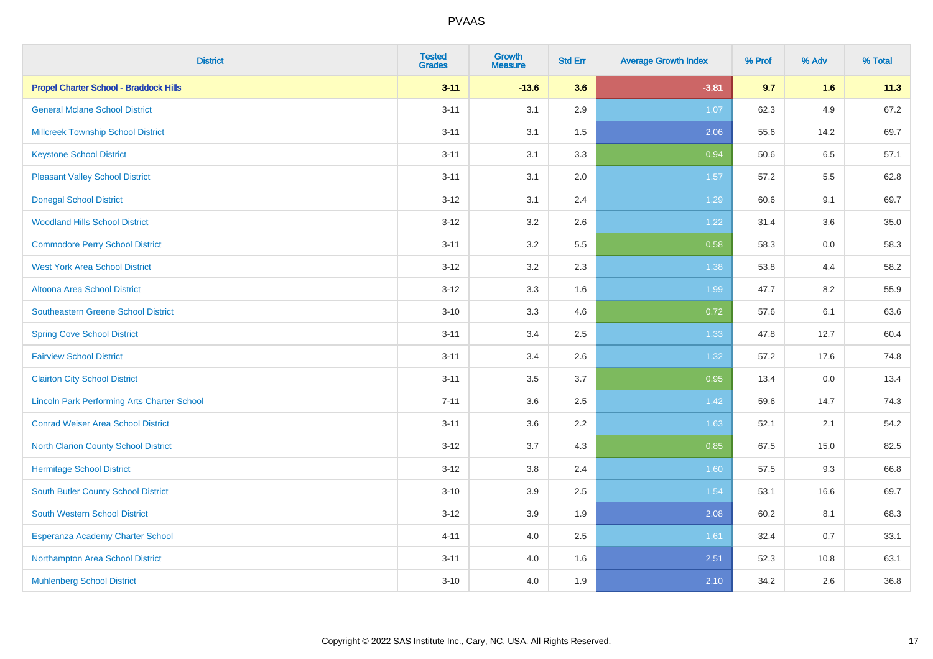| <b>District</b>                                    | <b>Tested</b><br><b>Grades</b> | <b>Growth</b><br><b>Measure</b> | <b>Std Err</b> | <b>Average Growth Index</b> | % Prof | % Adv | % Total |
|----------------------------------------------------|--------------------------------|---------------------------------|----------------|-----------------------------|--------|-------|---------|
| <b>Propel Charter School - Braddock Hills</b>      | $3 - 11$                       | $-13.6$                         | 3.6            | $-3.81$                     | 9.7    | 1.6   | 11.3    |
| <b>General Mclane School District</b>              | $3 - 11$                       | 3.1                             | 2.9            | 1.07                        | 62.3   | 4.9   | 67.2    |
| <b>Millcreek Township School District</b>          | $3 - 11$                       | 3.1                             | 1.5            | 2.06                        | 55.6   | 14.2  | 69.7    |
| <b>Keystone School District</b>                    | $3 - 11$                       | 3.1                             | 3.3            | 0.94                        | 50.6   | 6.5   | 57.1    |
| <b>Pleasant Valley School District</b>             | $3 - 11$                       | 3.1                             | 2.0            | 1.57                        | 57.2   | 5.5   | 62.8    |
| <b>Donegal School District</b>                     | $3 - 12$                       | 3.1                             | 2.4            | 1.29                        | 60.6   | 9.1   | 69.7    |
| <b>Woodland Hills School District</b>              | $3 - 12$                       | 3.2                             | 2.6            | 1.22                        | 31.4   | 3.6   | 35.0    |
| <b>Commodore Perry School District</b>             | $3 - 11$                       | 3.2                             | 5.5            | 0.58                        | 58.3   | 0.0   | 58.3    |
| <b>West York Area School District</b>              | $3 - 12$                       | 3.2                             | 2.3            | 1.38                        | 53.8   | 4.4   | 58.2    |
| Altoona Area School District                       | $3 - 12$                       | 3.3                             | 1.6            | 1.99                        | 47.7   | 8.2   | 55.9    |
| Southeastern Greene School District                | $3 - 10$                       | 3.3                             | 4.6            | 0.72                        | 57.6   | 6.1   | 63.6    |
| <b>Spring Cove School District</b>                 | $3 - 11$                       | 3.4                             | 2.5            | 1.33                        | 47.8   | 12.7  | 60.4    |
| <b>Fairview School District</b>                    | $3 - 11$                       | 3.4                             | 2.6            | 1.32                        | 57.2   | 17.6  | 74.8    |
| <b>Clairton City School District</b>               | $3 - 11$                       | 3.5                             | 3.7            | 0.95                        | 13.4   | 0.0   | 13.4    |
| <b>Lincoln Park Performing Arts Charter School</b> | $7 - 11$                       | 3.6                             | 2.5            | 1.42                        | 59.6   | 14.7  | 74.3    |
| <b>Conrad Weiser Area School District</b>          | $3 - 11$                       | 3.6                             | 2.2            | 1.63                        | 52.1   | 2.1   | 54.2    |
| <b>North Clarion County School District</b>        | $3 - 12$                       | 3.7                             | 4.3            | 0.85                        | 67.5   | 15.0  | 82.5    |
| <b>Hermitage School District</b>                   | $3 - 12$                       | $3.8\,$                         | 2.4            | 1.60                        | 57.5   | 9.3   | 66.8    |
| South Butler County School District                | $3 - 10$                       | 3.9                             | 2.5            | 1.54                        | 53.1   | 16.6  | 69.7    |
| South Western School District                      | $3 - 12$                       | 3.9                             | 1.9            | 2.08                        | 60.2   | 8.1   | 68.3    |
| Esperanza Academy Charter School                   | $4 - 11$                       | 4.0                             | 2.5            | 1.61                        | 32.4   | 0.7   | 33.1    |
| Northampton Area School District                   | $3 - 11$                       | 4.0                             | 1.6            | 2.51                        | 52.3   | 10.8  | 63.1    |
| <b>Muhlenberg School District</b>                  | $3 - 10$                       | 4.0                             | 1.9            | 2.10                        | 34.2   | 2.6   | 36.8    |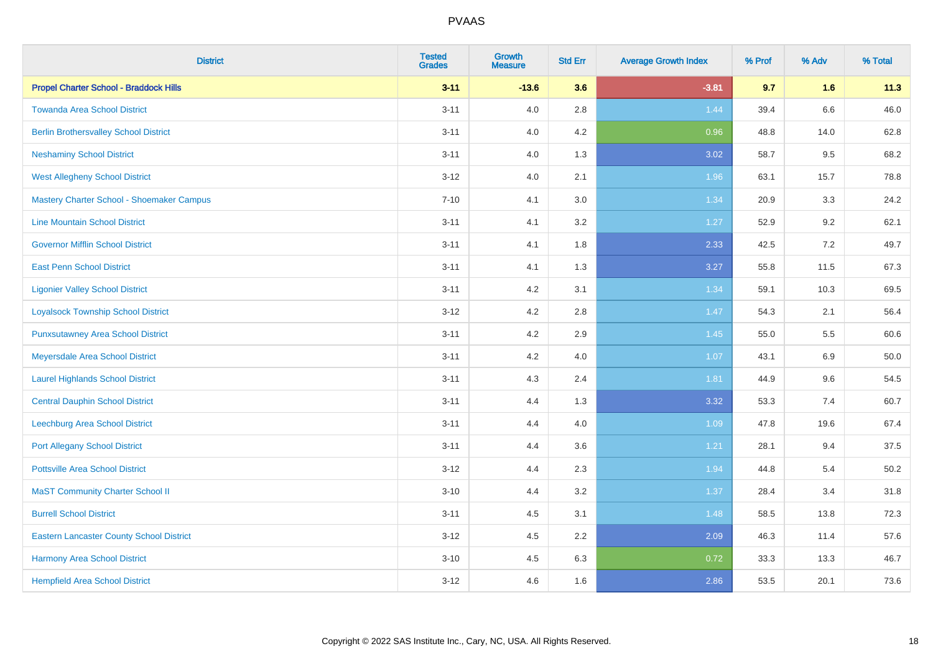| <b>District</b>                                 | <b>Tested</b><br><b>Grades</b> | Growth<br><b>Measure</b> | <b>Std Err</b> | <b>Average Growth Index</b> | % Prof | % Adv   | % Total |
|-------------------------------------------------|--------------------------------|--------------------------|----------------|-----------------------------|--------|---------|---------|
| <b>Propel Charter School - Braddock Hills</b>   | $3 - 11$                       | $-13.6$                  | 3.6            | $-3.81$                     | 9.7    | 1.6     | 11.3    |
| <b>Towanda Area School District</b>             | $3 - 11$                       | 4.0                      | 2.8            | 1.44                        | 39.4   | $6.6\,$ | 46.0    |
| <b>Berlin Brothersvalley School District</b>    | $3 - 11$                       | 4.0                      | 4.2            | 0.96                        | 48.8   | 14.0    | 62.8    |
| <b>Neshaminy School District</b>                | $3 - 11$                       | 4.0                      | 1.3            | 3.02                        | 58.7   | 9.5     | 68.2    |
| <b>West Allegheny School District</b>           | $3 - 12$                       | 4.0                      | 2.1            | 1.96                        | 63.1   | 15.7    | 78.8    |
| Mastery Charter School - Shoemaker Campus       | $7 - 10$                       | 4.1                      | 3.0            | 1.34                        | 20.9   | 3.3     | 24.2    |
| <b>Line Mountain School District</b>            | $3 - 11$                       | 4.1                      | 3.2            | 1.27                        | 52.9   | 9.2     | 62.1    |
| <b>Governor Mifflin School District</b>         | $3 - 11$                       | 4.1                      | 1.8            | 2.33                        | 42.5   | 7.2     | 49.7    |
| <b>East Penn School District</b>                | $3 - 11$                       | 4.1                      | 1.3            | 3.27                        | 55.8   | 11.5    | 67.3    |
| <b>Ligonier Valley School District</b>          | $3 - 11$                       | 4.2                      | 3.1            | 1.34                        | 59.1   | 10.3    | 69.5    |
| <b>Loyalsock Township School District</b>       | $3 - 12$                       | 4.2                      | 2.8            | 1.47                        | 54.3   | 2.1     | 56.4    |
| <b>Punxsutawney Area School District</b>        | $3 - 11$                       | 4.2                      | 2.9            | 1.45                        | 55.0   | 5.5     | 60.6    |
| Meyersdale Area School District                 | $3 - 11$                       | 4.2                      | 4.0            | 1.07                        | 43.1   | 6.9     | 50.0    |
| <b>Laurel Highlands School District</b>         | $3 - 11$                       | 4.3                      | 2.4            | 1.81                        | 44.9   | 9.6     | 54.5    |
| <b>Central Dauphin School District</b>          | $3 - 11$                       | 4.4                      | 1.3            | 3.32                        | 53.3   | 7.4     | 60.7    |
| Leechburg Area School District                  | $3 - 11$                       | 4.4                      | 4.0            | 1.09                        | 47.8   | 19.6    | 67.4    |
| <b>Port Allegany School District</b>            | $3 - 11$                       | 4.4                      | 3.6            | 1.21                        | 28.1   | 9.4     | 37.5    |
| <b>Pottsville Area School District</b>          | $3 - 12$                       | 4.4                      | 2.3            | 1.94                        | 44.8   | 5.4     | 50.2    |
| <b>MaST Community Charter School II</b>         | $3 - 10$                       | 4.4                      | 3.2            | 1.37                        | 28.4   | 3.4     | 31.8    |
| <b>Burrell School District</b>                  | $3 - 11$                       | 4.5                      | 3.1            | 1.48                        | 58.5   | 13.8    | 72.3    |
| <b>Eastern Lancaster County School District</b> | $3 - 12$                       | 4.5                      | 2.2            | 2.09                        | 46.3   | 11.4    | 57.6    |
| <b>Harmony Area School District</b>             | $3 - 10$                       | 4.5                      | 6.3            | 0.72                        | 33.3   | 13.3    | 46.7    |
| <b>Hempfield Area School District</b>           | $3 - 12$                       | 4.6                      | 1.6            | 2.86                        | 53.5   | 20.1    | 73.6    |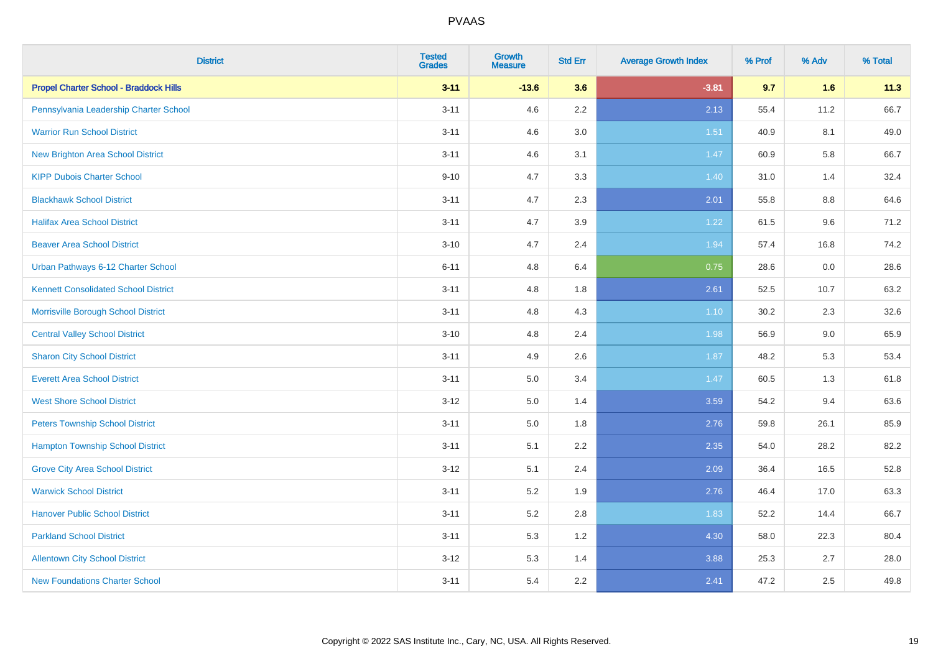| <b>District</b>                               | <b>Tested</b><br><b>Grades</b> | Growth<br><b>Measure</b> | <b>Std Err</b> | <b>Average Growth Index</b> | % Prof | % Adv   | % Total |
|-----------------------------------------------|--------------------------------|--------------------------|----------------|-----------------------------|--------|---------|---------|
| <b>Propel Charter School - Braddock Hills</b> | $3 - 11$                       | $-13.6$                  | 3.6            | $-3.81$                     | 9.7    | 1.6     | 11.3    |
| Pennsylvania Leadership Charter School        | $3 - 11$                       | 4.6                      | 2.2            | 2.13                        | 55.4   | 11.2    | 66.7    |
| <b>Warrior Run School District</b>            | $3 - 11$                       | 4.6                      | 3.0            | 1.51                        | 40.9   | 8.1     | 49.0    |
| <b>New Brighton Area School District</b>      | $3 - 11$                       | 4.6                      | 3.1            | 1.47                        | 60.9   | 5.8     | 66.7    |
| <b>KIPP Dubois Charter School</b>             | $9 - 10$                       | 4.7                      | 3.3            | 1.40                        | 31.0   | 1.4     | 32.4    |
| <b>Blackhawk School District</b>              | $3 - 11$                       | 4.7                      | 2.3            | 2.01                        | 55.8   | $8.8\,$ | 64.6    |
| <b>Halifax Area School District</b>           | $3 - 11$                       | 4.7                      | 3.9            | 1.22                        | 61.5   | 9.6     | 71.2    |
| <b>Beaver Area School District</b>            | $3 - 10$                       | 4.7                      | 2.4            | 1.94                        | 57.4   | 16.8    | 74.2    |
| Urban Pathways 6-12 Charter School            | $6 - 11$                       | 4.8                      | 6.4            | 0.75                        | 28.6   | 0.0     | 28.6    |
| <b>Kennett Consolidated School District</b>   | $3 - 11$                       | 4.8                      | 1.8            | 2.61                        | 52.5   | 10.7    | 63.2    |
| Morrisville Borough School District           | $3 - 11$                       | 4.8                      | 4.3            | 1.10                        | 30.2   | 2.3     | 32.6    |
| <b>Central Valley School District</b>         | $3 - 10$                       | 4.8                      | 2.4            | 1.98                        | 56.9   | 9.0     | 65.9    |
| <b>Sharon City School District</b>            | $3 - 11$                       | 4.9                      | 2.6            | 1.87                        | 48.2   | 5.3     | 53.4    |
| <b>Everett Area School District</b>           | $3 - 11$                       | 5.0                      | 3.4            | 1.47                        | 60.5   | 1.3     | 61.8    |
| <b>West Shore School District</b>             | $3 - 12$                       | $5.0\,$                  | 1.4            | 3.59                        | 54.2   | 9.4     | 63.6    |
| <b>Peters Township School District</b>        | $3 - 11$                       | 5.0                      | 1.8            | 2.76                        | 59.8   | 26.1    | 85.9    |
| <b>Hampton Township School District</b>       | $3 - 11$                       | 5.1                      | 2.2            | 2.35                        | 54.0   | 28.2    | 82.2    |
| <b>Grove City Area School District</b>        | $3 - 12$                       | 5.1                      | 2.4            | 2.09                        | 36.4   | 16.5    | 52.8    |
| <b>Warwick School District</b>                | $3 - 11$                       | 5.2                      | 1.9            | 2.76                        | 46.4   | 17.0    | 63.3    |
| <b>Hanover Public School District</b>         | $3 - 11$                       | 5.2                      | 2.8            | 1.83                        | 52.2   | 14.4    | 66.7    |
| <b>Parkland School District</b>               | $3 - 11$                       | 5.3                      | 1.2            | 4.30                        | 58.0   | 22.3    | 80.4    |
| <b>Allentown City School District</b>         | $3 - 12$                       | 5.3                      | 1.4            | 3.88                        | 25.3   | 2.7     | 28.0    |
| <b>New Foundations Charter School</b>         | $3 - 11$                       | 5.4                      | 2.2            | 2.41                        | 47.2   | 2.5     | 49.8    |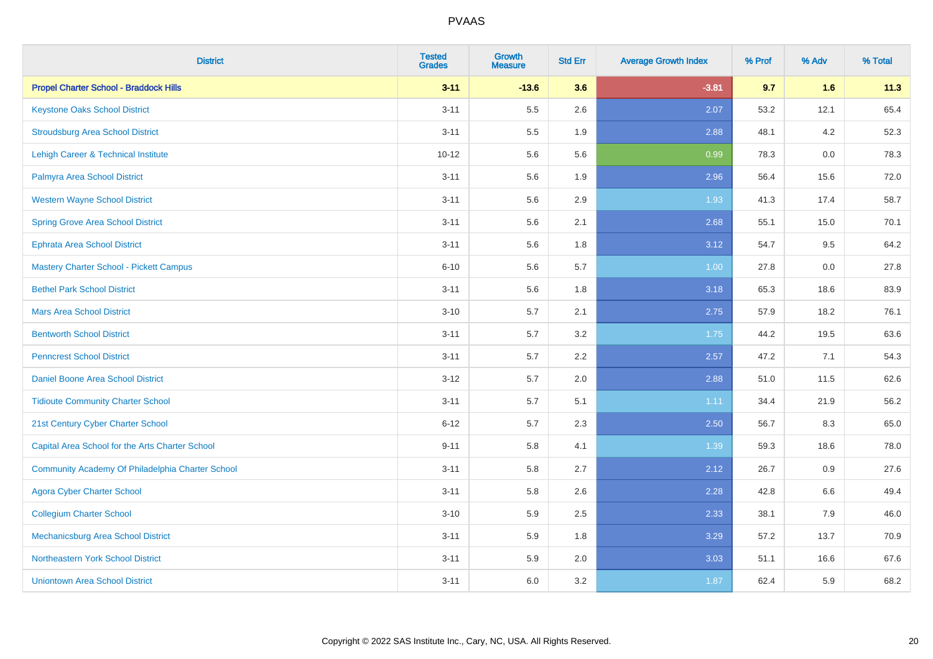| <b>District</b>                                  | <b>Tested</b><br><b>Grades</b> | <b>Growth</b><br><b>Measure</b> | <b>Std Err</b> | <b>Average Growth Index</b> | % Prof | % Adv | % Total |
|--------------------------------------------------|--------------------------------|---------------------------------|----------------|-----------------------------|--------|-------|---------|
| <b>Propel Charter School - Braddock Hills</b>    | $3 - 11$                       | $-13.6$                         | 3.6            | $-3.81$                     | 9.7    | 1.6   | 11.3    |
| <b>Keystone Oaks School District</b>             | $3 - 11$                       | 5.5                             | 2.6            | 2.07                        | 53.2   | 12.1  | 65.4    |
| <b>Stroudsburg Area School District</b>          | $3 - 11$                       | 5.5                             | 1.9            | 2.88                        | 48.1   | 4.2   | 52.3    |
| Lehigh Career & Technical Institute              | $10 - 12$                      | 5.6                             | 5.6            | 0.99                        | 78.3   | 0.0   | 78.3    |
| Palmyra Area School District                     | $3 - 11$                       | 5.6                             | 1.9            | 2.96                        | 56.4   | 15.6  | 72.0    |
| <b>Western Wayne School District</b>             | $3 - 11$                       | 5.6                             | 2.9            | 1.93                        | 41.3   | 17.4  | 58.7    |
| <b>Spring Grove Area School District</b>         | $3 - 11$                       | 5.6                             | 2.1            | 2.68                        | 55.1   | 15.0  | 70.1    |
| <b>Ephrata Area School District</b>              | $3 - 11$                       | 5.6                             | 1.8            | 3.12                        | 54.7   | 9.5   | 64.2    |
| <b>Mastery Charter School - Pickett Campus</b>   | $6 - 10$                       | 5.6                             | 5.7            | 1.00                        | 27.8   | 0.0   | 27.8    |
| <b>Bethel Park School District</b>               | $3 - 11$                       | 5.6                             | 1.8            | 3.18                        | 65.3   | 18.6  | 83.9    |
| <b>Mars Area School District</b>                 | $3 - 10$                       | 5.7                             | 2.1            | 2.75                        | 57.9   | 18.2  | 76.1    |
| <b>Bentworth School District</b>                 | $3 - 11$                       | 5.7                             | 3.2            | 1.75                        | 44.2   | 19.5  | 63.6    |
| <b>Penncrest School District</b>                 | $3 - 11$                       | 5.7                             | 2.2            | 2.57                        | 47.2   | 7.1   | 54.3    |
| Daniel Boone Area School District                | $3 - 12$                       | 5.7                             | 2.0            | 2.88                        | 51.0   | 11.5  | 62.6    |
| <b>Tidioute Community Charter School</b>         | $3 - 11$                       | 5.7                             | 5.1            | 1.11                        | 34.4   | 21.9  | 56.2    |
| 21st Century Cyber Charter School                | $6 - 12$                       | 5.7                             | 2.3            | 2.50                        | 56.7   | 8.3   | 65.0    |
| Capital Area School for the Arts Charter School  | $9 - 11$                       | 5.8                             | 4.1            | 1.39                        | 59.3   | 18.6  | 78.0    |
| Community Academy Of Philadelphia Charter School | $3 - 11$                       | 5.8                             | 2.7            | 2.12                        | 26.7   | 0.9   | 27.6    |
| <b>Agora Cyber Charter School</b>                | $3 - 11$                       | 5.8                             | 2.6            | 2.28                        | 42.8   | 6.6   | 49.4    |
| <b>Collegium Charter School</b>                  | $3 - 10$                       | 5.9                             | 2.5            | 2.33                        | 38.1   | 7.9   | 46.0    |
| <b>Mechanicsburg Area School District</b>        | $3 - 11$                       | 5.9                             | 1.8            | 3.29                        | 57.2   | 13.7  | 70.9    |
| Northeastern York School District                | $3 - 11$                       | 5.9                             | 2.0            | 3.03                        | 51.1   | 16.6  | 67.6    |
| <b>Uniontown Area School District</b>            | $3 - 11$                       | 6.0                             | 3.2            | 1.87                        | 62.4   | 5.9   | 68.2    |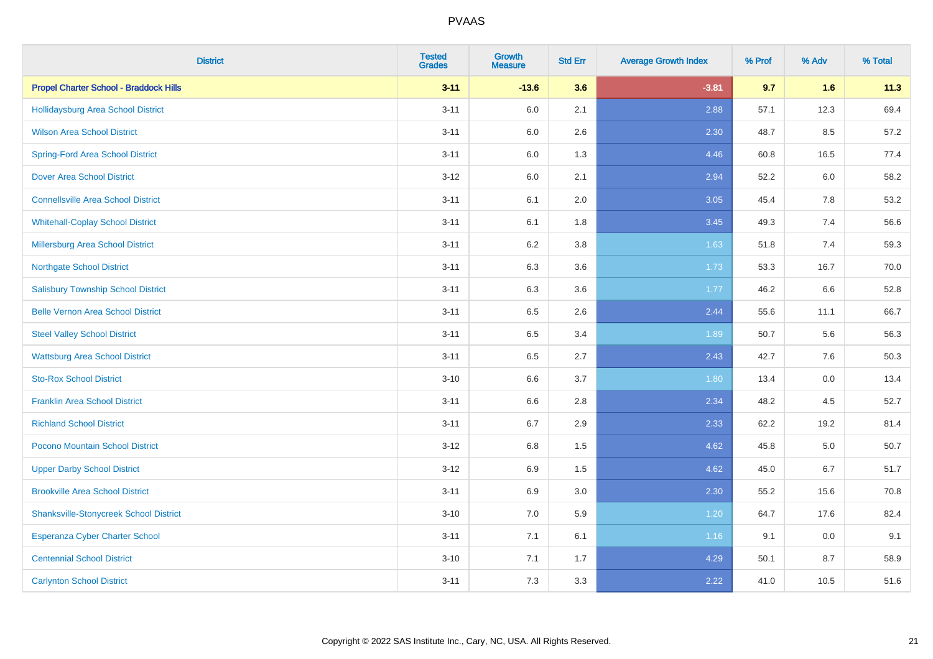| <b>District</b>                               | <b>Tested</b><br><b>Grades</b> | <b>Growth</b><br><b>Measure</b> | <b>Std Err</b> | <b>Average Growth Index</b> | % Prof | % Adv | % Total |
|-----------------------------------------------|--------------------------------|---------------------------------|----------------|-----------------------------|--------|-------|---------|
| <b>Propel Charter School - Braddock Hills</b> | $3 - 11$                       | $-13.6$                         | 3.6            | $-3.81$                     | 9.7    | 1.6   | 11.3    |
| <b>Hollidaysburg Area School District</b>     | $3 - 11$                       | 6.0                             | 2.1            | 2.88                        | 57.1   | 12.3  | 69.4    |
| <b>Wilson Area School District</b>            | $3 - 11$                       | 6.0                             | 2.6            | 2.30                        | 48.7   | 8.5   | 57.2    |
| <b>Spring-Ford Area School District</b>       | $3 - 11$                       | 6.0                             | 1.3            | 4.46                        | 60.8   | 16.5  | 77.4    |
| <b>Dover Area School District</b>             | $3 - 12$                       | 6.0                             | 2.1            | 2.94                        | 52.2   | 6.0   | 58.2    |
| <b>Connellsville Area School District</b>     | $3 - 11$                       | 6.1                             | 2.0            | 3.05                        | 45.4   | 7.8   | 53.2    |
| <b>Whitehall-Coplay School District</b>       | $3 - 11$                       | 6.1                             | 1.8            | 3.45                        | 49.3   | 7.4   | 56.6    |
| <b>Millersburg Area School District</b>       | $3 - 11$                       | 6.2                             | $3.8\,$        | 1.63                        | 51.8   | 7.4   | 59.3    |
| <b>Northgate School District</b>              | $3 - 11$                       | 6.3                             | 3.6            | 1.73                        | 53.3   | 16.7  | 70.0    |
| <b>Salisbury Township School District</b>     | $3 - 11$                       | 6.3                             | 3.6            | 1.77                        | 46.2   | 6.6   | 52.8    |
| <b>Belle Vernon Area School District</b>      | $3 - 11$                       | 6.5                             | 2.6            | 2.44                        | 55.6   | 11.1  | 66.7    |
| <b>Steel Valley School District</b>           | $3 - 11$                       | 6.5                             | 3.4            | 1.89                        | 50.7   | 5.6   | 56.3    |
| <b>Wattsburg Area School District</b>         | $3 - 11$                       | 6.5                             | 2.7            | 2.43                        | 42.7   | 7.6   | 50.3    |
| <b>Sto-Rox School District</b>                | $3 - 10$                       | 6.6                             | 3.7            | 1.80                        | 13.4   | 0.0   | 13.4    |
| <b>Franklin Area School District</b>          | $3 - 11$                       | 6.6                             | 2.8            | 2.34                        | 48.2   | 4.5   | 52.7    |
| <b>Richland School District</b>               | $3 - 11$                       | 6.7                             | 2.9            | 2.33                        | 62.2   | 19.2  | 81.4    |
| Pocono Mountain School District               | $3 - 12$                       | 6.8                             | 1.5            | 4.62                        | 45.8   | 5.0   | 50.7    |
| <b>Upper Darby School District</b>            | $3 - 12$                       | 6.9                             | 1.5            | 4.62                        | 45.0   | 6.7   | 51.7    |
| <b>Brookville Area School District</b>        | $3 - 11$                       | 6.9                             | 3.0            | 2.30                        | 55.2   | 15.6  | 70.8    |
| <b>Shanksville-Stonycreek School District</b> | $3 - 10$                       | 7.0                             | 5.9            | 1.20                        | 64.7   | 17.6  | 82.4    |
| <b>Esperanza Cyber Charter School</b>         | $3 - 11$                       | 7.1                             | 6.1            | 1.16                        | 9.1    | 0.0   | 9.1     |
| <b>Centennial School District</b>             | $3 - 10$                       | 7.1                             | 1.7            | 4.29                        | 50.1   | 8.7   | 58.9    |
| <b>Carlynton School District</b>              | $3 - 11$                       | 7.3                             | 3.3            | 2.22                        | 41.0   | 10.5  | 51.6    |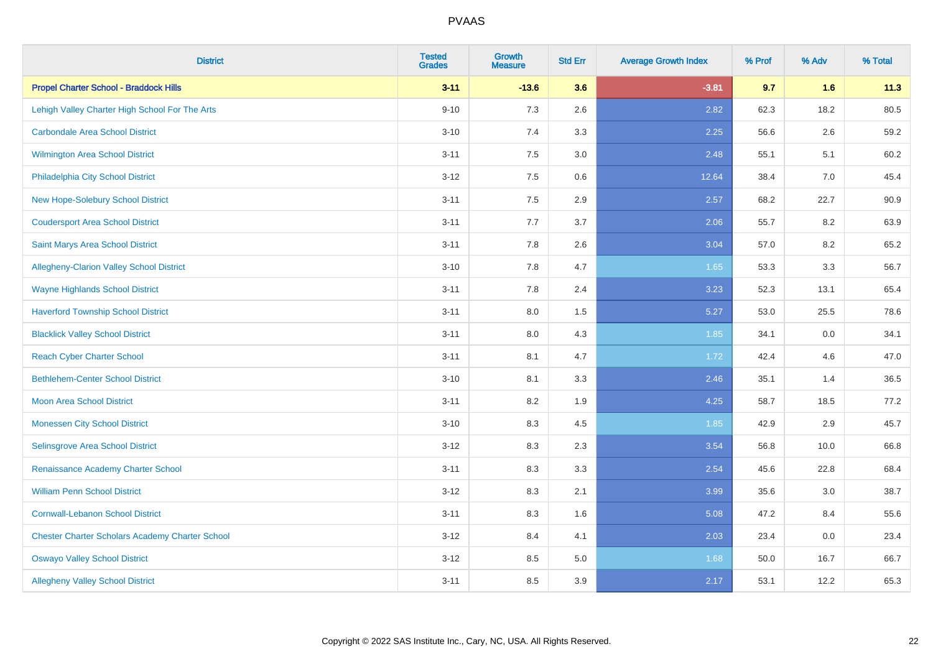| <b>District</b>                                        | <b>Tested</b><br><b>Grades</b> | <b>Growth</b><br><b>Measure</b> | <b>Std Err</b> | <b>Average Growth Index</b> | % Prof | % Adv | % Total |
|--------------------------------------------------------|--------------------------------|---------------------------------|----------------|-----------------------------|--------|-------|---------|
| <b>Propel Charter School - Braddock Hills</b>          | $3 - 11$                       | $-13.6$                         | 3.6            | $-3.81$                     | 9.7    | 1.6   | 11.3    |
| Lehigh Valley Charter High School For The Arts         | $9 - 10$                       | 7.3                             | 2.6            | 2.82                        | 62.3   | 18.2  | 80.5    |
| <b>Carbondale Area School District</b>                 | $3 - 10$                       | 7.4                             | 3.3            | 2.25                        | 56.6   | 2.6   | 59.2    |
| <b>Wilmington Area School District</b>                 | $3 - 11$                       | 7.5                             | 3.0            | 2.48                        | 55.1   | 5.1   | 60.2    |
| Philadelphia City School District                      | $3 - 12$                       | 7.5                             | 0.6            | 12.64                       | 38.4   | 7.0   | 45.4    |
| New Hope-Solebury School District                      | $3 - 11$                       | 7.5                             | 2.9            | 2.57                        | 68.2   | 22.7  | 90.9    |
| <b>Coudersport Area School District</b>                | $3 - 11$                       | 7.7                             | 3.7            | 2.06                        | 55.7   | 8.2   | 63.9    |
| <b>Saint Marys Area School District</b>                | $3 - 11$                       | 7.8                             | 2.6            | 3.04                        | 57.0   | 8.2   | 65.2    |
| Allegheny-Clarion Valley School District               | $3 - 10$                       | 7.8                             | 4.7            | 1.65                        | 53.3   | 3.3   | 56.7    |
| <b>Wayne Highlands School District</b>                 | $3 - 11$                       | 7.8                             | 2.4            | 3.23                        | 52.3   | 13.1  | 65.4    |
| <b>Haverford Township School District</b>              | $3 - 11$                       | 8.0                             | 1.5            | 5.27                        | 53.0   | 25.5  | 78.6    |
| <b>Blacklick Valley School District</b>                | $3 - 11$                       | 8.0                             | 4.3            | 1.85                        | 34.1   | 0.0   | 34.1    |
| <b>Reach Cyber Charter School</b>                      | $3 - 11$                       | 8.1                             | 4.7            | 1.72                        | 42.4   | 4.6   | 47.0    |
| <b>Bethlehem-Center School District</b>                | $3 - 10$                       | 8.1                             | 3.3            | 2.46                        | 35.1   | 1.4   | 36.5    |
| <b>Moon Area School District</b>                       | $3 - 11$                       | 8.2                             | 1.9            | 4.25                        | 58.7   | 18.5  | 77.2    |
| <b>Monessen City School District</b>                   | $3 - 10$                       | 8.3                             | 4.5            | 1.85                        | 42.9   | 2.9   | 45.7    |
| Selinsgrove Area School District                       | $3 - 12$                       | 8.3                             | 2.3            | 3.54                        | 56.8   | 10.0  | 66.8    |
| Renaissance Academy Charter School                     | $3 - 11$                       | 8.3                             | 3.3            | 2.54                        | 45.6   | 22.8  | 68.4    |
| <b>William Penn School District</b>                    | $3 - 12$                       | 8.3                             | 2.1            | 3.99                        | 35.6   | 3.0   | 38.7    |
| <b>Cornwall-Lebanon School District</b>                | $3 - 11$                       | 8.3                             | 1.6            | 5.08                        | 47.2   | 8.4   | 55.6    |
| <b>Chester Charter Scholars Academy Charter School</b> | $3 - 12$                       | 8.4                             | 4.1            | 2.03                        | 23.4   | 0.0   | 23.4    |
| <b>Oswayo Valley School District</b>                   | $3 - 12$                       | 8.5                             | 5.0            | 1.68                        | 50.0   | 16.7  | 66.7    |
| <b>Allegheny Valley School District</b>                | $3 - 11$                       | 8.5                             | 3.9            | 2.17                        | 53.1   | 12.2  | 65.3    |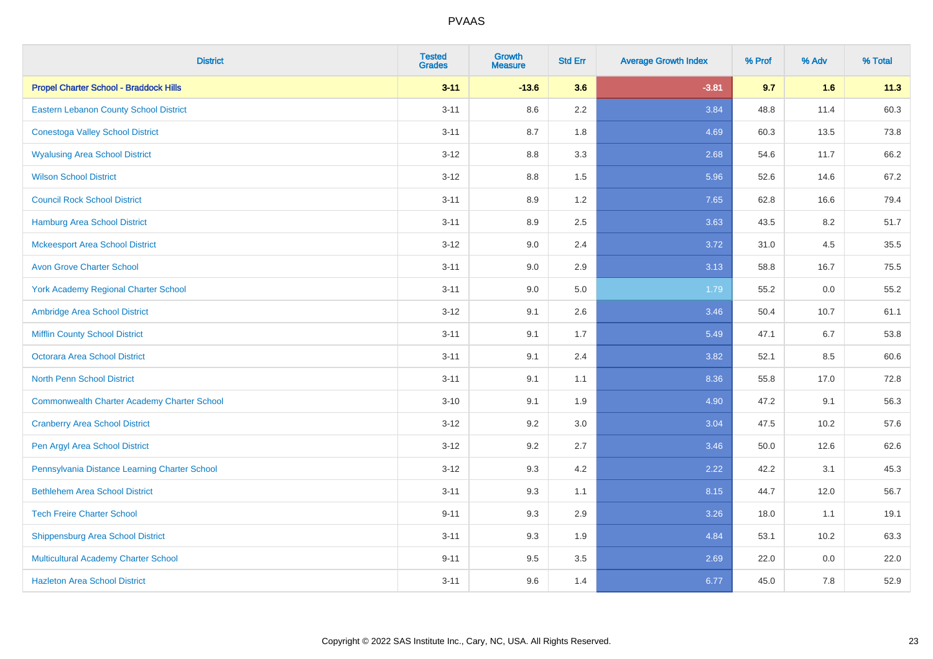| <b>District</b>                                    | <b>Tested</b><br><b>Grades</b> | <b>Growth</b><br><b>Measure</b> | <b>Std Err</b> | <b>Average Growth Index</b> | % Prof | % Adv   | % Total |
|----------------------------------------------------|--------------------------------|---------------------------------|----------------|-----------------------------|--------|---------|---------|
| <b>Propel Charter School - Braddock Hills</b>      | $3 - 11$                       | $-13.6$                         | 3.6            | $-3.81$                     | 9.7    | 1.6     | 11.3    |
| <b>Eastern Lebanon County School District</b>      | $3 - 11$                       | 8.6                             | 2.2            | 3.84                        | 48.8   | 11.4    | 60.3    |
| <b>Conestoga Valley School District</b>            | $3 - 11$                       | 8.7                             | 1.8            | 4.69                        | 60.3   | 13.5    | 73.8    |
| <b>Wyalusing Area School District</b>              | $3 - 12$                       | 8.8                             | 3.3            | 2.68                        | 54.6   | 11.7    | 66.2    |
| <b>Wilson School District</b>                      | $3-12$                         | 8.8                             | 1.5            | 5.96                        | 52.6   | 14.6    | 67.2    |
| <b>Council Rock School District</b>                | $3 - 11$                       | 8.9                             | 1.2            | 7.65                        | 62.8   | 16.6    | 79.4    |
| <b>Hamburg Area School District</b>                | $3 - 11$                       | 8.9                             | 2.5            | 3.63                        | 43.5   | 8.2     | 51.7    |
| <b>Mckeesport Area School District</b>             | $3 - 12$                       | 9.0                             | 2.4            | 3.72                        | 31.0   | 4.5     | 35.5    |
| <b>Avon Grove Charter School</b>                   | $3 - 11$                       | 9.0                             | 2.9            | 3.13                        | 58.8   | 16.7    | 75.5    |
| <b>York Academy Regional Charter School</b>        | $3 - 11$                       | 9.0                             | 5.0            | 1.79                        | 55.2   | 0.0     | 55.2    |
| Ambridge Area School District                      | $3 - 12$                       | 9.1                             | 2.6            | 3.46                        | 50.4   | 10.7    | 61.1    |
| <b>Mifflin County School District</b>              | $3 - 11$                       | 9.1                             | 1.7            | 5.49                        | 47.1   | 6.7     | 53.8    |
| Octorara Area School District                      | $3 - 11$                       | 9.1                             | 2.4            | 3.82                        | 52.1   | 8.5     | 60.6    |
| <b>North Penn School District</b>                  | $3 - 11$                       | 9.1                             | 1.1            | 8.36                        | 55.8   | 17.0    | 72.8    |
| <b>Commonwealth Charter Academy Charter School</b> | $3 - 10$                       | 9.1                             | 1.9            | 4.90                        | 47.2   | 9.1     | 56.3    |
| <b>Cranberry Area School District</b>              | $3 - 12$                       | 9.2                             | 3.0            | 3.04                        | 47.5   | 10.2    | 57.6    |
| Pen Argyl Area School District                     | $3 - 12$                       | 9.2                             | 2.7            | 3.46                        | 50.0   | 12.6    | 62.6    |
| Pennsylvania Distance Learning Charter School      | $3-12$                         | 9.3                             | 4.2            | 2.22                        | 42.2   | 3.1     | 45.3    |
| <b>Bethlehem Area School District</b>              | $3 - 11$                       | 9.3                             | 1.1            | 8.15                        | 44.7   | 12.0    | 56.7    |
| <b>Tech Freire Charter School</b>                  | $9 - 11$                       | 9.3                             | 2.9            | 3.26                        | 18.0   | 1.1     | 19.1    |
| <b>Shippensburg Area School District</b>           | $3 - 11$                       | 9.3                             | 1.9            | 4.84                        | 53.1   | 10.2    | 63.3    |
| Multicultural Academy Charter School               | $9 - 11$                       | 9.5                             | 3.5            | 2.69                        | 22.0   | $0.0\,$ | 22.0    |
| <b>Hazleton Area School District</b>               | $3 - 11$                       | 9.6                             | 1.4            | 6.77                        | 45.0   | 7.8     | 52.9    |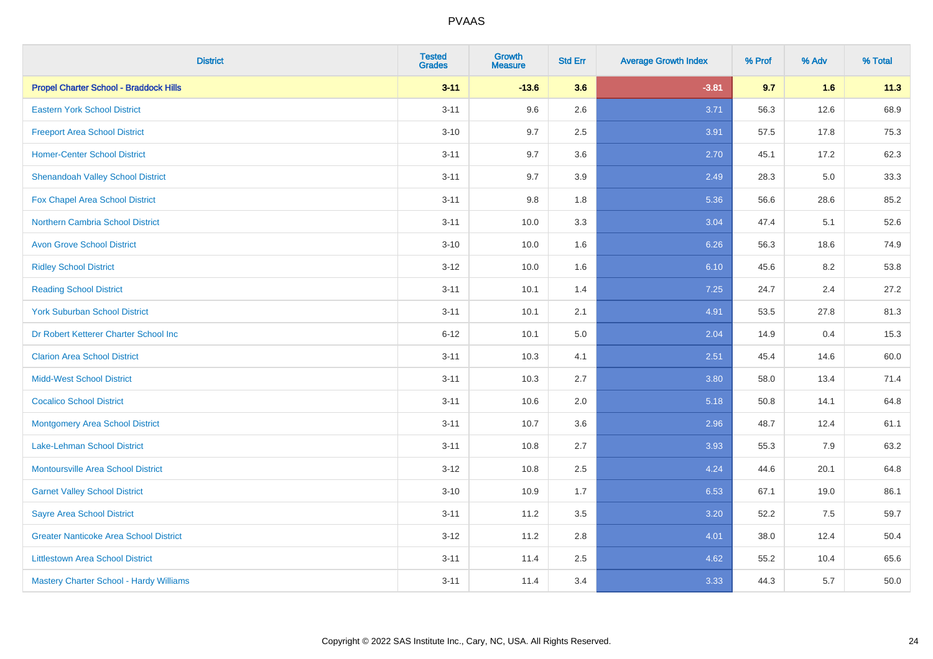| <b>District</b>                               | <b>Tested</b><br><b>Grades</b> | Growth<br><b>Measure</b> | <b>Std Err</b> | <b>Average Growth Index</b> | % Prof | % Adv | % Total |
|-----------------------------------------------|--------------------------------|--------------------------|----------------|-----------------------------|--------|-------|---------|
| <b>Propel Charter School - Braddock Hills</b> | $3 - 11$                       | $-13.6$                  | 3.6            | $-3.81$                     | 9.7    | 1.6   | 11.3    |
| <b>Eastern York School District</b>           | $3 - 11$                       | 9.6                      | 2.6            | 3.71                        | 56.3   | 12.6  | 68.9    |
| <b>Freeport Area School District</b>          | $3 - 10$                       | 9.7                      | 2.5            | 3.91                        | 57.5   | 17.8  | 75.3    |
| <b>Homer-Center School District</b>           | $3 - 11$                       | 9.7                      | 3.6            | 2.70                        | 45.1   | 17.2  | 62.3    |
| <b>Shenandoah Valley School District</b>      | $3 - 11$                       | 9.7                      | 3.9            | 2.49                        | 28.3   | 5.0   | 33.3    |
| Fox Chapel Area School District               | $3 - 11$                       | $9.8\,$                  | 1.8            | 5.36                        | 56.6   | 28.6  | 85.2    |
| <b>Northern Cambria School District</b>       | $3 - 11$                       | 10.0                     | 3.3            | 3.04                        | 47.4   | 5.1   | 52.6    |
| <b>Avon Grove School District</b>             | $3 - 10$                       | 10.0                     | 1.6            | 6.26                        | 56.3   | 18.6  | 74.9    |
| <b>Ridley School District</b>                 | $3 - 12$                       | 10.0                     | 1.6            | 6.10                        | 45.6   | 8.2   | 53.8    |
| <b>Reading School District</b>                | $3 - 11$                       | 10.1                     | 1.4            | 7.25                        | 24.7   | 2.4   | 27.2    |
| <b>York Suburban School District</b>          | $3 - 11$                       | 10.1                     | 2.1            | 4.91                        | 53.5   | 27.8  | 81.3    |
| Dr Robert Ketterer Charter School Inc         | $6 - 12$                       | 10.1                     | 5.0            | 2.04                        | 14.9   | 0.4   | 15.3    |
| <b>Clarion Area School District</b>           | $3 - 11$                       | 10.3                     | 4.1            | 2.51                        | 45.4   | 14.6  | 60.0    |
| <b>Midd-West School District</b>              | $3 - 11$                       | 10.3                     | 2.7            | 3.80                        | 58.0   | 13.4  | 71.4    |
| <b>Cocalico School District</b>               | $3 - 11$                       | 10.6                     | 2.0            | 5.18                        | 50.8   | 14.1  | 64.8    |
| <b>Montgomery Area School District</b>        | $3 - 11$                       | 10.7                     | 3.6            | 2.96                        | 48.7   | 12.4  | 61.1    |
| <b>Lake-Lehman School District</b>            | $3 - 11$                       | 10.8                     | 2.7            | 3.93                        | 55.3   | 7.9   | 63.2    |
| <b>Montoursville Area School District</b>     | $3 - 12$                       | 10.8                     | 2.5            | 4.24                        | 44.6   | 20.1  | 64.8    |
| <b>Garnet Valley School District</b>          | $3 - 10$                       | 10.9                     | 1.7            | 6.53                        | 67.1   | 19.0  | 86.1    |
| <b>Sayre Area School District</b>             | $3 - 11$                       | 11.2                     | 3.5            | 3.20                        | 52.2   | 7.5   | 59.7    |
| <b>Greater Nanticoke Area School District</b> | $3 - 12$                       | 11.2                     | 2.8            | 4.01                        | 38.0   | 12.4  | 50.4    |
| <b>Littlestown Area School District</b>       | $3 - 11$                       | 11.4                     | 2.5            | 4.62                        | 55.2   | 10.4  | 65.6    |
| Mastery Charter School - Hardy Williams       | $3 - 11$                       | 11.4                     | 3.4            | 3.33                        | 44.3   | 5.7   | 50.0    |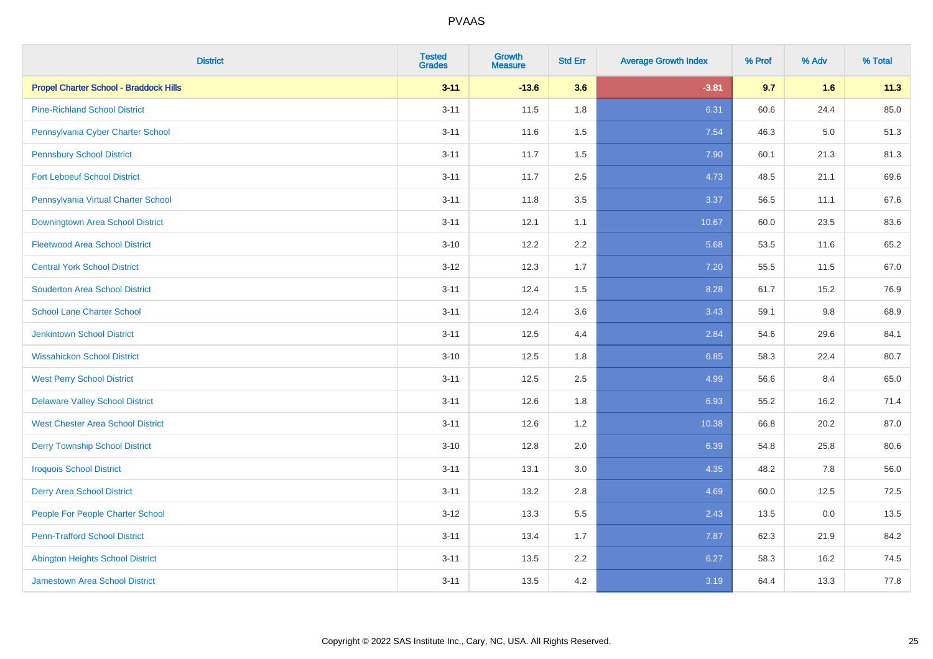| <b>District</b>                               | <b>Tested</b><br><b>Grades</b> | <b>Growth</b><br><b>Measure</b> | <b>Std Err</b> | <b>Average Growth Index</b> | % Prof | % Adv   | % Total |
|-----------------------------------------------|--------------------------------|---------------------------------|----------------|-----------------------------|--------|---------|---------|
| <b>Propel Charter School - Braddock Hills</b> | $3 - 11$                       | $-13.6$                         | 3.6            | $-3.81$                     | 9.7    | 1.6     | 11.3    |
| <b>Pine-Richland School District</b>          | $3 - 11$                       | 11.5                            | 1.8            | 6.31                        | 60.6   | 24.4    | 85.0    |
| Pennsylvania Cyber Charter School             | $3 - 11$                       | 11.6                            | 1.5            | 7.54                        | 46.3   | $5.0\,$ | 51.3    |
| <b>Pennsbury School District</b>              | $3 - 11$                       | 11.7                            | 1.5            | 7.90                        | 60.1   | 21.3    | 81.3    |
| <b>Fort Leboeuf School District</b>           | $3 - 11$                       | 11.7                            | 2.5            | 4.73                        | 48.5   | 21.1    | 69.6    |
| Pennsylvania Virtual Charter School           | $3 - 11$                       | 11.8                            | 3.5            | 3.37                        | 56.5   | 11.1    | 67.6    |
| Downingtown Area School District              | $3 - 11$                       | 12.1                            | 1.1            | 10.67                       | 60.0   | 23.5    | 83.6    |
| <b>Fleetwood Area School District</b>         | $3 - 10$                       | 12.2                            | 2.2            | 5.68                        | 53.5   | 11.6    | 65.2    |
| <b>Central York School District</b>           | $3 - 12$                       | 12.3                            | 1.7            | 7.20                        | 55.5   | 11.5    | 67.0    |
| <b>Souderton Area School District</b>         | $3 - 11$                       | 12.4                            | 1.5            | 8.28                        | 61.7   | 15.2    | 76.9    |
| <b>School Lane Charter School</b>             | $3 - 11$                       | 12.4                            | 3.6            | 3.43                        | 59.1   | 9.8     | 68.9    |
| Jenkintown School District                    | $3 - 11$                       | 12.5                            | 4.4            | 2.84                        | 54.6   | 29.6    | 84.1    |
| <b>Wissahickon School District</b>            | $3 - 10$                       | 12.5                            | 1.8            | 6.85                        | 58.3   | 22.4    | 80.7    |
| <b>West Perry School District</b>             | $3 - 11$                       | 12.5                            | 2.5            | 4.99                        | 56.6   | 8.4     | 65.0    |
| <b>Delaware Valley School District</b>        | $3 - 11$                       | 12.6                            | 1.8            | 6.93                        | 55.2   | 16.2    | 71.4    |
| <b>West Chester Area School District</b>      | $3 - 11$                       | 12.6                            | 1.2            | 10.38                       | 66.8   | 20.2    | 87.0    |
| <b>Derry Township School District</b>         | $3 - 10$                       | 12.8                            | 2.0            | 6.39                        | 54.8   | 25.8    | 80.6    |
| <b>Iroquois School District</b>               | $3 - 11$                       | 13.1                            | 3.0            | 4.35                        | 48.2   | 7.8     | 56.0    |
| <b>Derry Area School District</b>             | $3 - 11$                       | 13.2                            | 2.8            | 4.69                        | 60.0   | 12.5    | 72.5    |
| People For People Charter School              | $3 - 12$                       | 13.3                            | 5.5            | 2.43                        | 13.5   | 0.0     | 13.5    |
| <b>Penn-Trafford School District</b>          | $3 - 11$                       | 13.4                            | 1.7            | 7.87                        | 62.3   | 21.9    | 84.2    |
| <b>Abington Heights School District</b>       | $3 - 11$                       | 13.5                            | 2.2            | 6.27                        | 58.3   | 16.2    | 74.5    |
| <b>Jamestown Area School District</b>         | $3 - 11$                       | 13.5                            | 4.2            | 3.19                        | 64.4   | 13.3    | 77.8    |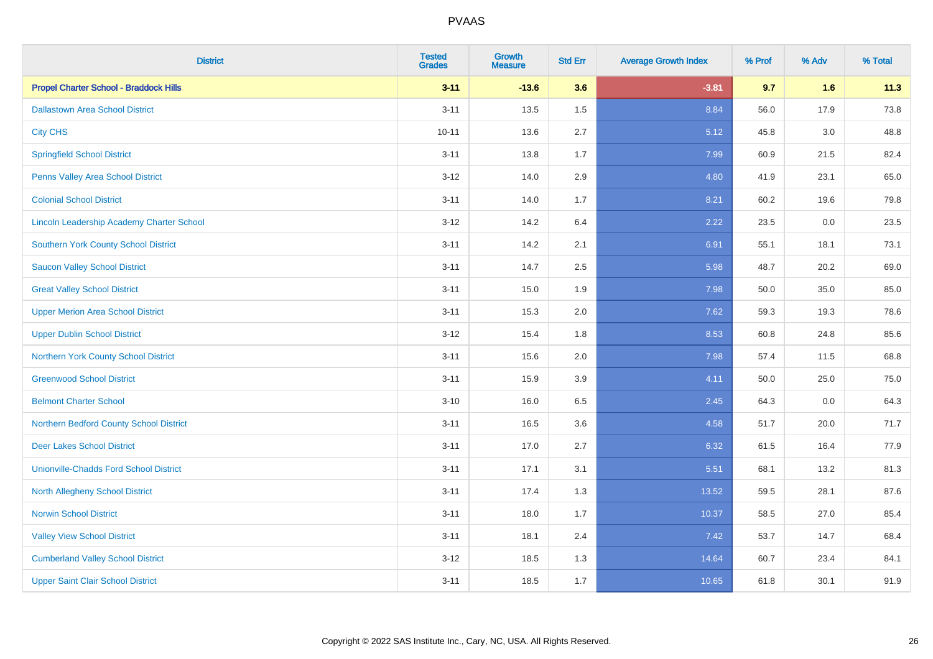| <b>District</b>                                  | <b>Tested</b><br><b>Grades</b> | <b>Growth</b><br><b>Measure</b> | <b>Std Err</b> | <b>Average Growth Index</b> | % Prof | % Adv   | % Total |
|--------------------------------------------------|--------------------------------|---------------------------------|----------------|-----------------------------|--------|---------|---------|
| <b>Propel Charter School - Braddock Hills</b>    | $3 - 11$                       | $-13.6$                         | 3.6            | $-3.81$                     | 9.7    | 1.6     | 11.3    |
| <b>Dallastown Area School District</b>           | $3 - 11$                       | 13.5                            | 1.5            | 8.84                        | 56.0   | 17.9    | 73.8    |
| <b>City CHS</b>                                  | $10 - 11$                      | 13.6                            | 2.7            | 5.12                        | 45.8   | 3.0     | 48.8    |
| <b>Springfield School District</b>               | $3 - 11$                       | 13.8                            | 1.7            | 7.99                        | 60.9   | 21.5    | 82.4    |
| Penns Valley Area School District                | $3 - 12$                       | 14.0                            | 2.9            | 4.80                        | 41.9   | 23.1    | 65.0    |
| <b>Colonial School District</b>                  | $3 - 11$                       | 14.0                            | 1.7            | 8.21                        | 60.2   | 19.6    | 79.8    |
| <b>Lincoln Leadership Academy Charter School</b> | $3 - 12$                       | 14.2                            | 6.4            | 2.22                        | 23.5   | $0.0\,$ | 23.5    |
| <b>Southern York County School District</b>      | $3 - 11$                       | 14.2                            | 2.1            | 6.91                        | 55.1   | 18.1    | 73.1    |
| <b>Saucon Valley School District</b>             | $3 - 11$                       | 14.7                            | 2.5            | 5.98                        | 48.7   | 20.2    | 69.0    |
| <b>Great Valley School District</b>              | $3 - 11$                       | 15.0                            | 1.9            | 7.98                        | 50.0   | 35.0    | 85.0    |
| <b>Upper Merion Area School District</b>         | $3 - 11$                       | 15.3                            | 2.0            | 7.62                        | 59.3   | 19.3    | 78.6    |
| <b>Upper Dublin School District</b>              | $3 - 12$                       | 15.4                            | 1.8            | 8.53                        | 60.8   | 24.8    | 85.6    |
| Northern York County School District             | $3 - 11$                       | 15.6                            | 2.0            | 7.98                        | 57.4   | 11.5    | 68.8    |
| <b>Greenwood School District</b>                 | $3 - 11$                       | 15.9                            | 3.9            | 4.11                        | 50.0   | 25.0    | 75.0    |
| <b>Belmont Charter School</b>                    | $3 - 10$                       | 16.0                            | 6.5            | 2.45                        | 64.3   | 0.0     | 64.3    |
| Northern Bedford County School District          | $3 - 11$                       | 16.5                            | 3.6            | 4.58                        | 51.7   | 20.0    | 71.7    |
| <b>Deer Lakes School District</b>                | $3 - 11$                       | 17.0                            | 2.7            | 6.32                        | 61.5   | 16.4    | 77.9    |
| <b>Unionville-Chadds Ford School District</b>    | $3 - 11$                       | 17.1                            | 3.1            | 5.51                        | 68.1   | 13.2    | 81.3    |
| <b>North Allegheny School District</b>           | $3 - 11$                       | 17.4                            | 1.3            | 13.52                       | 59.5   | 28.1    | 87.6    |
| <b>Norwin School District</b>                    | $3 - 11$                       | 18.0                            | 1.7            | 10.37                       | 58.5   | 27.0    | 85.4    |
| <b>Valley View School District</b>               | $3 - 11$                       | 18.1                            | 2.4            | 7.42                        | 53.7   | 14.7    | 68.4    |
| <b>Cumberland Valley School District</b>         | $3 - 12$                       | 18.5                            | 1.3            | 14.64                       | 60.7   | 23.4    | 84.1    |
| <b>Upper Saint Clair School District</b>         | $3 - 11$                       | 18.5                            | 1.7            | 10.65                       | 61.8   | 30.1    | 91.9    |